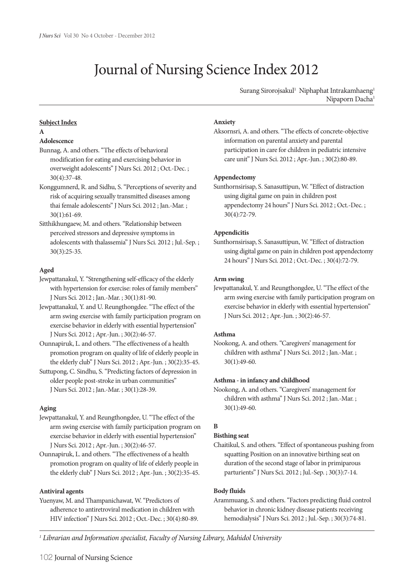# Journal of Nursing Science Index 2012

Surang Sirorojsakul<sup>1</sup> Niphaphat Intrakamhaeng<sup>1</sup> Nipaporn Dacha<sup>1</sup>

### **Subject Index**

### **A**

## **Adolescence**

- Bunnag, A. and others."The effects of behavioral modification for eating and exercising behavior in overweight adolescents" J Nurs Sci. 2012 ; Oct.-Dec. ; 30(4):37-48.
- Konggumnerd, R. and Sidhu, S."Perceptions of severity and risk of acquiring sexually transmitted diseases among thai female adolescents" J Nurs Sci. 2012 ; Jan.-Mar. ; 30(1):61-69.
- Sitthikhungaew, M. and others."Relationship between perceived stressors and depressive symptoms in adolescents with thalassemia" J Nurs Sci. 2012 ; Jul.-Sep. ; 30(3):25-35.

## **Aged**

- Jewpattanakul, Y."Strengthening self-efficacy of the elderly with hypertension for exercise: roles of family members" J Nurs Sci. 2012 ; Jan.-Mar. ; 30(1):81-90.
- Jewpattanakul, Y. and U. Reungthongdee."The effect of the arm swing exercise with family participation program on exercise behavior in elderly with essential hypertension" J Nurs Sci. 2012 ; Apr.-Jun. ; 30(2):46-57.
- Ounnapiruk, L. and others."The effectiveness of a health promotion program on quality of life of elderly people in the elderly club" J Nurs Sci. 2012 ; Apr.-Jun. ; 30(2):35-45.
- Suttupong, C. Sindhu, S."Predicting factors of depression in older people post-stroke in urban communities" J Nurs Sci. 2012 ; Jan.-Mar. ; 30(1):28-39.

## **Aging**

- Jewpattanakul, Y. and Reungthongdee, U."The effect of the arm swing exercise with family participation program on exercise behavior in elderly with essential hypertension" J Nurs Sci. 2012 ; Apr.-Jun. ; 30(2):46-57.
- Ounnapiruk, L. and others."The effectiveness of a health promotion program on quality of life of elderly people in the elderly club" J Nurs Sci. 2012 ; Apr.-Jun. ; 30(2):35-45.

## **Antiviral agents**

Yuenyaw, M. and Thampanichawat, W."Predictors of adherence to antiretroviral medication in children with HIV infection" J Nurs Sci. 2012 ; Oct.-Dec. ; 30(4):80-89.

### **Anxiety**

Aksornsri, A. and others."The effects of concrete-objective information on parental anxiety and parental participation in care for children in pediatric intensive care unit" J Nurs Sci. 2012 ; Apr.-Jun. ; 30(2):80-89.

### **Appendectomy**

Sunthornsirisap, S. Sanasuttipun, W."Effect of distraction using digital game on pain in children post appendectomy 24 hours" J Nurs Sci. 2012 ; Oct.-Dec. ; 30(4):72-79.

### **Appendicitis**

Sunthornsirisap, S. Sanasuttipun, W."Effect of distraction using digital game on pain in children post appendectomy 24 hours" J Nurs Sci. 2012 ; Oct.-Dec. ; 30(4):72-79.

### **Arm swing**

Jewpattanakul, Y. and Reungthongdee, U."The effect of the arm swing exercise with family participation program on exercise behavior in elderly with essential hypertension" J Nurs Sci. 2012 ; Apr.-Jun. ; 30(2):46-57.

### **Asthma**

Nookong, A. and others."Caregivers' management for children with asthma" J Nurs Sci. 2012 ; Jan.-Mar. ; 30(1):49-60.

## **Asthma - in infancy and childhood**

Nookong, A. and others."Caregivers' management for children with asthma" J Nurs Sci. 2012 ; Jan.-Mar. ; 30(1):49-60.

# **B**

## **Bisthing seat**

Chaitikul, S. and others."Effect of spontaneous pushing from squatting Position on an innovative birthing seat on duration of the second stage of labor in primiparous parturients" J Nurs Sci. 2012 ; Jul.-Sep. ; 30(3):7-14.

## **Body fluids**

Arammuang, S. and others."Factors predicting fluid control behavior in chronic kidney disease patients receiving hemodialysis" J Nurs Sci. 2012 ; Jul.-Sep. ; 30(3):74-81.

*1 Librarian and Information specialist, Faculty of Nursing Library, Mahidol University*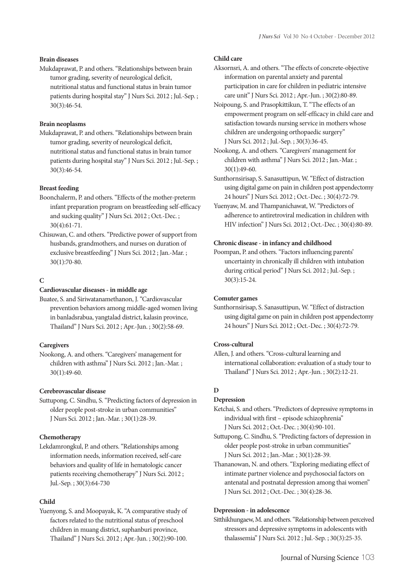### **Brain diseases**

Mukdaprawat, P. and others."Relationships between brain tumor grading, severity of neurological deficit, nutritional status and functional status in brain tumor patients during hospital stay" J Nurs Sci. 2012 ; Jul.-Sep. ; 30(3):46-54.

## **Brain neoplasms**

Mukdaprawat, P. and others."Relationships between brain tumor grading, severity of neurological deficit, nutritional status and functional status in brain tumor patients during hospital stay" J Nurs Sci. 2012 ; Jul.-Sep. ; 30(3):46-54.

### **Breast feeding**

Boonchalerm, P. and others."Effects of the mother-preterm infant preparation program on breastfeeding self-efficacy and sucking quality" J Nurs Sci. 2012 ; Oct.-Dec. ; 30(4):61-71.

Chisuwan, C. and others."Predictive power of support from husbands, grandmothers, and nurses on duration of exclusive breastfeeding" J Nurs Sci. 2012 ; Jan.-Mar. ; 30(1):70-80.

## **C**

### **Cardiovascular diseases - in middle age**

Buatee, S. and Siriwatanamethanon, J."Cardiovascular prevention behaviors among middle-aged women living in banladsrabua, yangtalad district, kalasin province, Thailand" J Nurs Sci. 2012 ; Apr.-Jun. ; 30(2):58-69.

### **Caregivers**

Nookong, A. and others."Caregivers' management for children with asthma" J Nurs Sci. 2012 ; Jan.-Mar. ; 30(1):49-60.

### **Cerebrovascular disease**

Suttupong, C. Sindhu, S."Predicting factors of depression in older people post-stroke in urban communities" J Nurs Sci. 2012 ; Jan.-Mar. ; 30(1):28-39.

### **Chemotherapy**

Lekdamrongkul, P. and others."Relationships among information needs, information received, self-care behaviors and quality of life in hematologic cancer patients receiving chemotherapy" J Nurs Sci. 2012 ; Jul.-Sep. ; 30(3):64-730

### **Child**

Yuenyong, S. and Moopayak, K."A comparative study of factors related to the nutritional status of preschool children in muang district, suphanburi province, Thailand" J Nurs Sci. 2012 ; Apr.-Jun. ; 30(2):90-100.

### **Child care**

Aksornsri, A. and others."The effects of concrete-objective information on parental anxiety and parental participation in care for children in pediatric intensive care unit" J Nurs Sci. 2012 ; Apr.-Jun. ; 30(2):80-89.

Noipoung, S. and Prasopkittikun, T."The effects of an empowerment program on self-efficacy in child care and satisfaction towards nursing service in mothers whose children are undergoing orthopaedic surgery" J Nurs Sci. 2012 ; Jul.-Sep. ; 30(3):36-45.

Nookong, A. and others."Caregivers' management for children with asthma" J Nurs Sci. 2012 ; Jan.-Mar. ; 30(1):49-60.

Sunthornsirisap, S. Sanasuttipun, W."Effect of distraction using digital game on pain in children post appendectomy 24 hours" J Nurs Sci. 2012 ; Oct.-Dec. ; 30(4):72-79.

Yuenyaw, M. and Thampanichawat, W."Predictors of adherence to antiretroviral medication in children with HIV infection" J Nurs Sci. 2012 ; Oct.-Dec. ; 30(4):80-89.

### **Chronic disease - in infancy and childhood**

Poompan, P. and others."Factors influencing parents' uncertainty in chronically ill children with intubation during critical period" J Nurs Sci. 2012 ; Jul.-Sep. ; 30(3):15-24.

### **Comuter games**

Sunthornsirisap, S. Sanasuttipun, W."Effect of distraction using digital game on pain in children post appendectomy 24 hours" J Nurs Sci. 2012 ; Oct.-Dec. ; 30(4):72-79.

### **Cross-cultural**

Allen, J. and others."Cross-cultural learning and international collaboration: evaluation of a study tour to Thailand" J Nurs Sci. 2012 ; Apr.-Jun. ; 30(2):12-21.

# **D**

# **Depression**

Ketchai, S. and others."Predictors of depressive symptoms in individual with first – episode schizophrenia" J Nurs Sci. 2012 ; Oct.-Dec. ; 30(4):90-101.

Suttupong, C. Sindhu, S."Predicting factors of depression in older people post-stroke in urban communities" J Nurs Sci. 2012 ; Jan.-Mar. ; 30(1):28-39.

Thananowan, N. and others."Exploring mediating effect of intimate partner violence and psychosocial factors on antenatal and postnatal depression among thai women" J Nurs Sci. 2012 ; Oct.-Dec. ; 30(4):28-36.

### **Depression - in adolescence**

Sitthikhungaew,M. and others."Relationship between perceived stressors and depressive symptoms in adolescents with thalassemia" J Nurs Sci. 2012 ; Jul.-Sep. ; 30(3):25-35.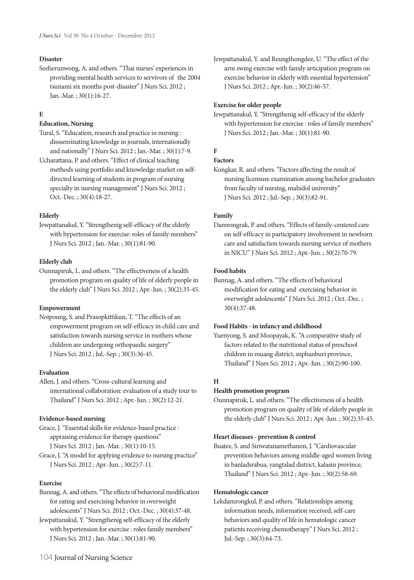## **Disaster**

Seeherunwong, A. and others."Thai nurses' experiences in providing mental health services to servivors of the 2004 tsunami six months post-disaster" J Nurs Sci. 2012 ; Jan.-Mar. ; 30(1):16-27.

## **E**

### **Education, Nursing**

Tural, S."Education, research and practice in nursing : dissseminating knowledge in journals, internationally and nationally" J Nurs Sci. 2012 ; Jan.-Mar. ; 30(1):7-9.

Ucharattana, P. and others."Effect of clinical teaching methods using portfolio and knowledge market on self- directed learning of students in program of nursing specialty in nursing management" J Nurs Sci. 2012 ; Oct.-Dec. ; 30(4):18-27.

### **Elderly**

Jewpattanakul, Y."Strengthenig self-efficacy of the elderly with hypertension for exercise: roles of family members" J Nurs Sci. 2012 ; Jan.-Mar. ; 30(1):81-90.

### **Elderly club**

Ounnapiruk, L. and others."The effectiveness of a health promotion program on quality of life of elderly people in the elderly club" J Nurs Sci. 2012 ; Apr.-Jun. ; 30(2):35-45.

## **Empowerment**

Noipoung, S. and Prasopkittikun, T."The effects of an empowerment program on self-efficacy in child care and satisfaction towards nursing service in mothers whose children are undergoing orthopaedic surgery" J Nurs Sci. 2012 ; Jul.-Sep. ; 30(3):36-45.

### **Evaluation**

Allen, J. and others."Cross-cultural learning and international collaboration: evaluation of a study tour to Thailand" J Nurs Sci. 2012 ; Apr.-Jun. ; 30(2):12-21.

### **Evidence-based nursing**

Grace, J."Essential skills for evidence-based practice : appraising evidence for therapy questions" J Nurs Sci. 2012 ; Jan.-Mar. ; 30(1):10-15.

Grace, J."A model for applying evidence to nursing practice" J Nurs Sci. 2012 ; Apr.-Jun. ; 30(2):7-11.

### **Exercise**

Bunnag,A. and others."The effects of behavioral modification for eating and exercising behavior in overweight adolescents" J Nurs Sci. 2012 ; Oct.-Dec. ; 30(4):37-48.

Jewpattanakul, Y."Strengthenig self-efficacy of the elderly with hypertension for exercise : roles family members" J Nurs Sci. 2012 ; Jan.-Mar. ; 30(1):81-90.

Jewpattanakul, Y. and Reungthongdee, U."The effect of the arm swing exercise with family articipation program on exercise behavior in elderly with essential hypertension" J Nurs Sci. 2012 ; Apr.-Jun. ; 30(2):46-57.

### **Exercise for older people**

Jewpattanakul, Y."Strengthenig self-efficacy of the elderly with hypertension for exercise : roles of family members" J Nurs Sci. 2012 ; Jan.-Mar. ; 30(1):81-90.

# **F**

## **Factors**

Kongkar, R. and others."Factors affecting the result of nursing licensure examination among bachelor graduates from faculty of nursing, mahidol university" J Nurs Sci. 2012 ; Jul.-Sep. ; 30(3):82-91.

### **Family**

Damrongrak, P. and others."Effects of family-centered care on self-efficacy in participatory involvement in newborn care and satisfaction towards nursing service of mothers in NICU" J Nurs Sci. 2012 ; Apr.-Jun. ; 30(2):70-79.

### **Food habits**

Bunnag, A. and others."The effects of behavioral modification for eating and exercising behavior in overweight adolescents" J Nurs Sci. 2012 ; Oct.-Dec. ; 30(4):37-48.

### **Food Habits - in infancy and childhood**

Yuenyong, S. and Moopayak, K."A comparative study of factors related to the nutritional status of preschool children in muang district, suphanburi province, Thailand" J Nurs Sci. 2012 ; Apr.-Jun. ; 30(2):90-100.

### **H**

## **Health promotion program**

Ounnapiruk, L. and others."The effectiveness of a health promotion program on quality of life of elderly people in the elderly club" J Nurs Sci. 2012 ; Apr.-Jun. ; 30(2):35-45.

### **Heart diseases - prevention & control**

Buatee, S. and Siriwatanamethanon, J."Cardiovascular prevention behaviors among middle-aged women living in banladsrabua, yangtalad district, kalasin province, Thailand" J Nurs Sci. 2012 ; Apr.-Jun. ; 30(2):58-69.

### **Hematologic cancer**

Lekdamrongkul, P. and others."Relationships among information needs, information received, self-care behaviors and quality of life in hematologic cancer patients receiving chemotherapy" J Nurs Sci. 2012 ; Jul.-Sep. ; 30(3):64-73.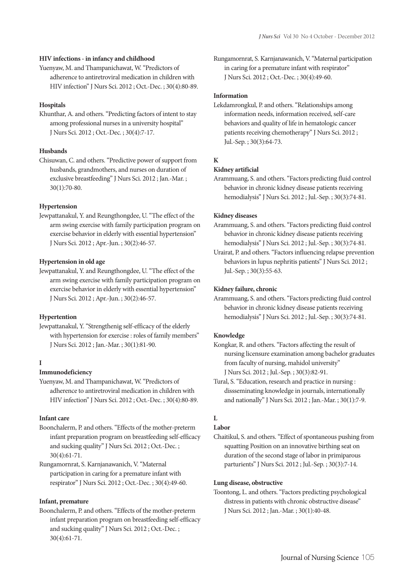### **HIV infections - in infancy and childhood**

Yuenyaw, M. and Thampanichawat, W."Predictors of adherence to antiretroviral medication in children with HIV infection" J Nurs Sci. 2012 ; Oct.-Dec. ; 30(4):80-89.

### **Hospitals**

Khunthar, A. and others."Predicting factors of intent to stay among professional nurses in a university hospital" J Nurs Sci. 2012 ; Oct.-Dec. ; 30(4):7-17.

## **Husbands**

Chisuwan, C. and others."Predictive power of support from husbands, grandmothers, and nurses on duration of exclusive breastfeeding" J Nurs Sci. 2012 ; Jan.-Mar. ; 30(1):70-80.

### **Hypertension**

Jewpattanakul, Y. and Reungthongdee, U."The effect of the arm swing exercise with family participation program on exercise behavior in elderly with essential hypertension" J Nurs Sci. 2012 ; Apr.-Jun. ; 30(2):46-57.

### **Hypertension in old age**

Jewpattanakul, Y. and Reungthongdee, U."The effect of the arm swing exercise with family participation program on exercise behavior in elderly with essential hypertension" J Nurs Sci. 2012 ; Apr.-Jun. ; 30(2):46-57.

### **Hypertention**

Jewpattanakul, Y."Strengthenig self-efficacy of the elderly with hypertension for exercise : roles of family members" J Nurs Sci. 2012 ; Jan.-Mar. ; 30(1):81-90.

## **I**

## **Immunodeficiency**

Yuenyaw, M. and Thampanichawat, W."Predictors of adherence to antiretroviral medication in children with HIV infection" J Nurs Sci. 2012 ; Oct.-Dec. ; 30(4):80-89.

### **Infant care**

- Boonchalerm, P. and others."Effects of the mother-preterm infant preparation program on breastfeeding self-efficacy and sucking quality" J Nurs Sci. 2012 ; Oct.-Dec. ; 30(4):61-71.
- Rungamornrat, S. Karnjanawanich, V."Maternal participation in caring for a premature infant with respirator" J Nurs Sci. 2012 ; Oct.-Dec. ; 30(4):49-60.

### **Infant, premature**

Boonchalerm, P. and others."Effects of the mother-preterm infant preparation program on breastfeeding self-efficacy and sucking quality" J Nurs Sci. 2012 ; Oct.-Dec. ; 30(4):61-71.

Rungamornrat, S.Karnjanawanich, V."Maternal participation in caring for a premature infant with respirator" J Nurs Sci. 2012 ; Oct.-Dec. ; 30(4):49-60.

### **Information**

Lekdamrongkul, P. and others."Relationships among information needs, information received, self-care behaviors and quality of life in hematologic cancer patients receiving chemotherapy" J Nurs Sci. 2012 ; Jul.-Sep. ; 30(3):64-73.

## **K**

### **Kidney artificial**

Arammuang, S. and others."Factors predicting fluid control behavior in chronic kidney disease patients receiving hemodialysis" J Nurs Sci. 2012 ; Jul.-Sep. ; 30(3):74-81.

### **Kidney diseases**

Arammuang, S. and others."Factors predicting fluid control behavior in chronic kidney disease patients receiving hemodialysis" J Nurs Sci. 2012 ; Jul.-Sep. ; 30(3):74-81.

Urairat, P. and others."Factors influencing relapse prevention behaviors in lupus nephritis patients" J Nurs Sci. 2012 ; Jul.-Sep. ; 30(3):55-63.

### **Kidney failure, chronic**

Arammuang, S. and others."Factors predicting fluid control behavior in chronic kidney disease patients receiving hemodialysis" J Nurs Sci. 2012 ; Jul.-Sep. ; 30(3):74-81.

### **Knowledge**

Kongkar, R. and others."Factors affecting the result of nursing licensure examination among bachelor graduates from faculty of nursing, mahidol university" J Nurs Sci. 2012 ; Jul.-Sep. ; 30(3):82-91.

Tural, S."Education, research and practice in nursing : dissseminating knowledge in journals, internationally and nationally" J Nurs Sci. 2012 ; Jan.-Mar. ; 30(1):7-9.

# **L**

## **Labor**

Chaitikul, S. and others."Effect of spontaneous pushing from squatting Position on an innovative birthing seat on duration of the second stage of labor in primiparous parturients" J Nurs Sci. 2012 ; Jul.-Sep. ; 30(3):7-14.

### **Lung disease, obstructive**

Toontong, L. and others."Factors predicting psychological distress in patients with chronic obstructive disease" J Nurs Sci. 2012 ; Jan.-Mar. ; 30(1):40-48.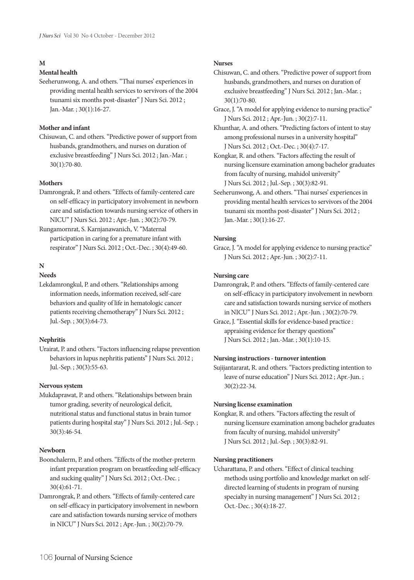### **M**

## **Mental health**

Seeherunwong, A. and others."Thai nurses' experiences in providing mental health services to servivors of the 2004 tsunami six months post-disaster" J Nurs Sci. 2012 ; Jan.-Mar. ; 30(1):16-27.

## **Mother and infant**

Chisuwan, C. and others."Predictive power of support from husbands, grandmothers, and nurses on duration of exclusive breastfeeding" J Nurs Sci. 2012 ; Jan.-Mar. ; 30(1):70-80.

### **Mothers**

- Damrongrak, P. and others."Effects of family-centered care on self-efficacy in participatory involvement in newborn care and satisfaction towards nursing service of others in NICU" J Nurs Sci. 2012 ; Apr.-Jun. ; 30(2):70-79.
- Rungamornrat, S. Karnjanawanich, V."Maternal participation in caring for a premature infant with respirator" J Nurs Sci. 2012 ; Oct.-Dec. ; 30(4):49-60.

### **N**

### **Needs**

Lekdamrongkul, P. and others."Relationships among information needs, information received, self-care behaviors and quality of life in hematologic cancer patients receiving chemotherapy" J Nurs Sci. 2012 ; Jul.-Sep. ; 30(3):64-73.

### **Nephritis**

Urairat, P. and others."Factors influencing relapse prevention behaviors in lupus nephritis patients" J Nurs Sci. 2012 ; Jul.-Sep. ; 30(3):55-63.

### **Nervous system**

Mukdaprawat, P. and others."Relationships between brain tumor grading, severity of neurological deficit, nutritional status and functional status in brain tumor patients during hospital stay" J Nurs Sci. 2012 ; Jul.-Sep. ; 30(3):46-54.

### **Newborn**

- Boonchalerm, P. and others."Effects of the mother-preterm infant preparation program on breastfeeding self-efficacy and sucking quality" J Nurs Sci. 2012 ; Oct.-Dec. ; 30(4):61-71.
- Damrongrak, P. and others."Effects of family-centered care on self-efficacy in participatory involvement in newborn care and satisfaction towards nursing service of mothers in NICU" J Nurs Sci. 2012 ; Apr.-Jun. ; 30(2):70-79.

### **Nurses**

- Chisuwan, C. and others."Predictive power of support from husbands, grandmothers, and nurses on duration of exclusive breastfeeding" J Nurs Sci. 2012 ; Jan.-Mar. ; 30(1):70-80.
- Grace, J. "A model for applying evidence to nursing practice" J Nurs Sci. 2012 ; Apr.-Jun. ; 30(2):7-11.
- Khunthar, A. and others."Predicting factors of intent to stay among professional nurses in a university hospital" J Nurs Sci. 2012 ; Oct.-Dec. ; 30(4):7-17.
- Kongkar, R. and others."Factors affecting the result of nursing licensure examination among bachelor graduates from faculty of nursing, mahidol university" J Nurs Sci. 2012 ; Jul.-Sep. ; 30(3):82-91.
- Seeherunwong, A. and others."Thai nurses' experiences in providing mental health services to servivors of the 2004 tsunami six months post-disaster" J Nurs Sci. 2012 ; Jan.-Mar. ; 30(1):16-27.

### **Nursing**

Grace, J."A model for applying evidence to nursing practice" J Nurs Sci. 2012 ; Apr.-Jun. ; 30(2):7-11.

### **Nursing care**

- Damrongrak, P. and others."Effects of family-centered care on self-efficacy in participatory involvement in newborn care and satisfaction towards nursing service of mothers in NICU" J Nurs Sci. 2012 ; Apr.-Jun. ; 30(2):70-79.
- Grace, J."Essential skills for evidence-based practice : appraising evidence for therapy questions" J Nurs Sci. 2012 ; Jan.-Mar. ; 30(1):10-15.

### **Nursing instructiors - turnover intention**

Sujijantararat, R. and others."Factors predicting intention to leave of nurse education" J Nurs Sci. 2012 ; Apr.-Jun. ; 30(2):22-34.

### **Nursing license examination**

Kongkar, R. and others."Factors affecting the result of nursing licensure examination among bachelor graduates from faculty of nursing, mahidol university" J Nurs Sci. 2012 ; Jul.-Sep. ; 30(3):82-91.

### **Nursing practitioners**

Ucharattana, P. and others."Effect of clinical teaching methods using portfolio and knowledge market on self- directed learning of students in program of nursing specialty in nursing management" J Nurs Sci. 2012 ; Oct.-Dec. ; 30(4):18-27.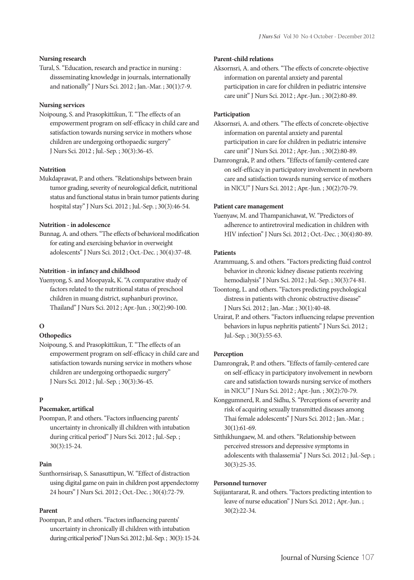### **Nursing research**

Tural, S."Education, research and practice in nursing : dissseminating knowledge in journals, internationally and nationally" J Nurs Sci. 2012 ; Jan.-Mar. ; 30(1):7-9.

### **Nursing services**

Noipoung, S. and Prasopkittikun, T."The effects of an empowerment program on self-efficacy in child care and satisfaction towards nursing service in mothers whose children are undergoing orthopaedic surgery" J Nurs Sci. 2012 ; Jul.-Sep. ; 30(3):36-45.

### **Nutrition**

Mukdaprawat, P. and others."Relationships between brain tumor grading, severity of neurological deficit, nutritional status and functional status in brain tumor patients during hospital stay" J Nurs Sci. 2012 ; Jul.-Sep. ; 30(3):46-54.

### **Nutrition - in adolescence**

Bunnag,A. and others."The effects of behavioral modification for eating and exercising behavior in overweight adolescents" J Nurs Sci. 2012 ; Oct.-Dec. ; 30(4):37-48.

## **Nutrition - in infancy and childhood**

Yuenyong, S. and Moopayak, K."A comparative study of factors related to the nutritional status of preschool children in muang district, suphanburi province, Thailand" J Nurs Sci. 2012 ; Apr.-Jun. ; 30(2):90-100.

## **O**

## **Othopedics**

Noipoung, S. and Prasopkittikun, T."The effects of an empowerment program on self-efficacy in child care and satisfaction towards nursing service in mothers whose children are undergoing orthopaedic surgery" J Nurs Sci. 2012 ; Jul.-Sep. ; 30(3):36-45.

### **P**

## **Pacemaker, artifical**

Poompan, P. and others."Factors influencing parents' uncertainty in chronically ill children with intubation during critical period" J Nurs Sci. 2012 ; Jul.-Sep. ; 30(3):15-24.

### **Pain**

Sunthornsirisap, S. Sanasuttipun, W."Effect of distraction using digital game on pain in children post appendectomy 24 hours" J Nurs Sci. 2012 ; Oct.-Dec. ; 30(4):72-79.

### **Parent**

Poompan, P. and others."Factors influencing parents' uncertainty in chronically ill children with intubation during critical period" J Nurs Sci. 2012; Jul.-Sep. ; 30(3): 15-24.

### **Parent-child relations**

Aksornsri, A. and others."The effects of concrete-objective information on parental anxiety and parental participation in care for children in pediatric intensive care unit" J Nurs Sci. 2012 ; Apr.-Jun. ; 30(2):80-89.

### **Participation**

- Aksornsri, A. and others."The effects of concrete-objective information on parental anxiety and parental participation in care for children in pediatric intensive care unit" J Nurs Sci. 2012 ; Apr.-Jun. ; 30(2):80-89.
- Damrongrak, P. and others."Effects of family-centered care on self-efficacy in participatory involvement in newborn care and satisfaction towards nursing service of mothers in NICU" J Nurs Sci. 2012 ; Apr.-Jun. ; 30(2):70-79.

### **Patient care management**

Yuenyaw, M. and Thampanichawat, W."Predictors of adherence to antiretroviral medication in children with HIV infection" J Nurs Sci. 2012 ; Oct.-Dec. ; 30(4):80-89.

### **Patients**

- Arammuang, S. and others."Factors predicting fluid control behavior in chronic kidney disease patients receiving hemodialysis" J Nurs Sci. 2012 ; Jul.-Sep. ; 30(3):74-81.
- Toontong, L. and others."Factors predicting psychological distress in patients with chronic obstructive disease" J Nurs Sci. 2012 ; Jan.-Mar. ; 30(1):40-48.
- Urairat, P. and others."Factors influencing relapse prevention behaviors in lupus nephritis patients" J Nurs Sci. 2012 ; Jul.-Sep. ; 30(3):55-63.

### **Perception**

- Damrongrak, P. and others."Effects of family-centered care on self-efficacy in participatory involvement in newborn care and satisfaction towards nursing service of mothers in NICU" J Nurs Sci. 2012 ; Apr.-Jun. ; 30(2):70-79.
- Konggumnerd, R. and Sidhu, S."Perceptions of severity and risk of acquiring sexually transmitted diseases among Thai female adolescents" J Nurs Sci. 2012 ; Jan.-Mar. ; 30(1):61-69.
- Sitthikhungaew, M. and others."Relationship between perceived stressors and depressive symptoms in adolescents with thalassemia" J Nurs Sci. 2012 ; Jul.-Sep. ; 30(3):25-35.

### **Personnel turnover**

Sujijantararat, R. and others."Factors predicting intention to leave of nurse education" J Nurs Sci. 2012 ; Apr.-Jun. ; 30(2):22-34.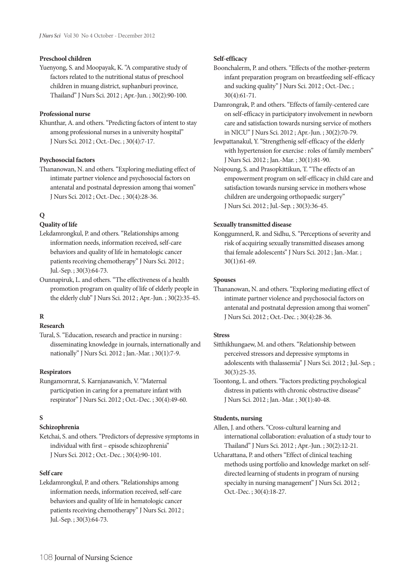### **Preschool children**

Yuenyong, S. and Moopayak, K."A comparative study of factors related to the nutritional status of preschool children in muang district, suphanburi province, Thailand" J Nurs Sci. 2012 ; Apr.-Jun. ; 30(2):90-100.

### **Professional nurse**

Khunthar, A. and others."Predicting factors of intent to stay among professional nurses in a university hospital" J Nurs Sci. 2012 ; Oct.-Dec. ; 30(4):7-17.

### **Psychosocial factors**

Thananowan, N. and others."Exploring mediating effect of intimate partner violence and psychosocial factors on antenatal and postnatal depression among thai women" J Nurs Sci. 2012 ; Oct.-Dec. ; 30(4):28-36.

### **Q**

## **Quality of life**

- Lekdamrongkul, P. and others."Relationships among information needs, information received, self-care behaviors and quality of life in hematologic cancer patients receiving chemotherapy" J Nurs Sci. 2012 ; Jul.-Sep. ; 30(3):64-73.
- Ounnapiruk, L. and others."The effectiveness of a health promotion program on quality of life of elderly people in the elderly club" J Nurs Sci. 2012 ; Apr.-Jun. ; 30(2):35-45.

### **R**

## **Research**

Tural, S."Education, research and practice in nursing : disseminating knowledge in journals, internationally and nationally" J Nurs Sci. 2012 ; Jan.-Mar. ; 30(1):7-9.

## **Respirators**

Rungamornrat, S. Karnjanawanich, V."Maternal participation in caring for a premature infant with respirator" J Nurs Sci. 2012 ; Oct.-Dec. ; 30(4):49-60.

### **S**

## **Schizophrenia**

Ketchai, S. and others."Predictors of depressive symptoms in individual with first – episode schizophrenia" J Nurs Sci. 2012 ; Oct.-Dec. ; 30(4):90-101.

### **Self care**

Lekdamrongkul, P. and others."Relationships among information needs, information received, self-care behaviors and quality of life in hematologic cancer patients receiving chemotherapy" J Nurs Sci. 2012 ; Jul.-Sep. ; 30(3):64-73.

### **Self-efficacy**

- Boonchalerm, P. and others."Effects of the mother-preterm infant preparation program on breastfeeding self-efficacy and sucking quality" J Nurs Sci. 2012 ; Oct.-Dec. ; 30(4):61-71.
- Damrongrak, P. and others."Effects of family-centered care on self-efficacy in participatory involvement in newborn care and satisfaction towards nursing service of mothers in NICU" J Nurs Sci. 2012 ; Apr.-Jun. ; 30(2):70-79.
- Jewpattanakul, Y."Strengthenig self-efficacy of the elderly with hypertension for exercise : roles of family members" J Nurs Sci. 2012 ; Jan.-Mar. ; 30(1):81-90.
- Noipoung, S. and Prasopkittikun, T."The effects of an empowerment program on self-efficacy in child care and satisfaction towards nursing service in mothers whose children are undergoing orthopaedic surgery" J Nurs Sci. 2012 ; Jul.-Sep. ; 30(3):36-45.

### **Sexually transmitted disease**

Konggumnerd, R. and Sidhu, S."Perceptions of severity and risk of acquiring sexually transmitted diseases among thai female adolescents" J Nurs Sci. 2012 ; Jan.-Mar. ; 30(1):61-69.

### **Spouses**

Thananowan, N. and others."Exploring mediating effect of intimate partner violence and psychosocial factors on antenatal and postnatal depression among thai women" J Nurs Sci. 2012 ; Oct.-Dec. ; 30(4):28-36.

### **Stress**

- Sitthikhungaew, M. and others."Relationship between perceived stressors and depressive symptoms in adolescents with thalassemia" J Nurs Sci. 2012 ; Jul.-Sep. ; 30(3):25-35.
- Toontong, L. and others."Factors predicting psychological distress in patients with chronic obstructive disease" J Nurs Sci. 2012 ; Jan.-Mar. ; 30(1):40-48.

### **Students, nursing**

- Allen, J. and others."Cross-cultural learning and international collaboration: evaluation of a study tour to Thailand" J Nurs Sci. 2012 ; Apr.-Jun. ; 30(2):12-21.
- Ucharattana, P. and others"Effect of clinical teaching methods using portfolio and knowledge market on self- directed learning of students in program of nursing specialty in nursing management" J Nurs Sci. 2012 ; Oct.-Dec. ; 30(4):18-27.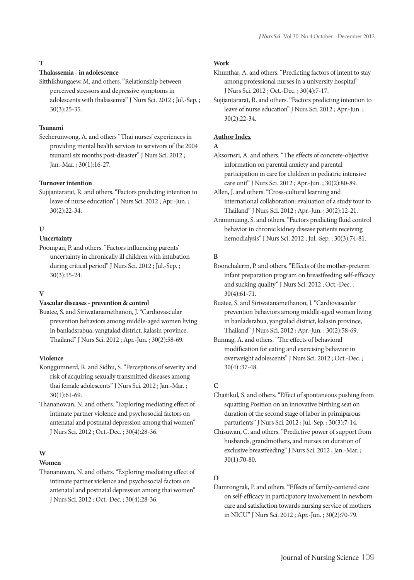## **T**

## **Thalassemia - in adolescence**

Sitthikhungaew, M. and others."Relationship between perceived stressors and depressive symptoms in adolescents with thalassemia" J Nurs Sci. 2012 ; Jul.-Sep. ; 30(3):25-35.

### **Tsunami**

Seeherunwong, A. and others"Thai nurses' experiences in providing mental health services to servivors of the 2004 tsunami six months post-disaster" J Nurs Sci. 2012 ; Jan.-Mar. ; 30(1):16-27.

### **Turnover intention**

Sujijantararat, R. and others."Factors predicting intention to leave of nurse education" J Nurs Sci. 2012 ; Apr.-Jun. ; 30(2):22-34.

### **U**

## **Uncertainty**

Poompan, P. and others."Factors influencing parents' uncertainty in chronically ill children with intubation during critical period" J Nurs Sci. 2012 ; Jul.-Sep. ; 30(3):15-24.

### **V**

### **Vascular diseases - prevention & control**

Buatee, S. and Siriwatanamethanon, J."Cardiovascular prevention behaviors among middle-aged women living in banladsrabua, yangtalad district, kalasin province, Thailand" J Nurs Sci. 2012 ; Apr.-Jun. ; 30(2):58-69.

## **Violence**

Konggumnerd, R. and Sidhu, S."Perceptions of severity and risk of acquiring sexually transmitted diseases among thai female adolescents" J Nurs Sci. 2012 ; Jan.-Mar. ; 30(1):61-69.

Thananowan, N. and others."Exploring mediating effect of intimate partner violence and psychosocial factors on antenatal and postnatal depression among thai women" J Nurs Sci. 2012 ; Oct.-Dec. ; 30(4):28-36.

### **W**

### **Women**

Thananowan, N. and others."Exploring mediating effect of intimate partner violence and psychosocial factors on antenatal and postnatal depression among thai women" J Nurs Sci. 2012 ; Oct.-Dec. ; 30(4):28-36.

### **Work**

- Khunthar, A. and others."Predicting factors of intent to stay among professional nurses in a university hospital" J Nurs Sci. 2012 ; Oct.-Dec. ; 30(4):7-17.
- Sujijantararat, R. and others."Factors predicting intention to leave of nurse education" J Nurs Sci. 2012 ; Apr.-Jun. ; 30(2):22-34.

### **Author Index**

### **A**

Aksornsri, A. and others."The effects of concrete-objective information on parental anxiety and parental participation in care for children in pediatric intensive care unit" J Nurs Sci. 2012 ; Apr.-Jun. ; 30(2):80-89.

Allen, J. and others."Cross-cultural learning and international collaboration: evaluation of a study tour to Thailand" J Nurs Sci. 2012 ; Apr.-Jun. ; 30(2):12-21.

Arammuang, S. and others."Factors predicting fluid control behavior in chronic kidney disease patients receiving hemodialysis" J Nurs Sci. 2012 ; Jul.-Sep. ; 30(3):74-81.

### **B**

Boonchalerm, P. and others."Effects of the mother-preterm infant preparation program on breastfeeding self-efficacy and sucking quality" J Nurs Sci. 2012 ; Oct.-Dec. ; 30(4):61-71.

Buatee, S. and Siriwatanamethanon, J."Cardiovascular prevention behaviors among middle-aged women living in banladsrabua, yangtalad district, kalasin province, Thailand" J Nurs Sci. 2012 ; Apr.-Jun. ; 30(2):58-69.

Bunnag, A. and others."The effects of behavioral modification for eating and exercising behavior in overweight adolescents" J Nurs Sci. 2012 ; Oct.-Dec. ; 30(4) :37-48.

### **C**

Chaitikul, S. and others."Effect of spontaneous pushing from squatting Position on an innovative birthing seat on duration of the second stage of labor in primiparous parturients" J Nurs Sci. 2012 ; Jul.-Sep. ; 30(3):7-14.

Chisuwan, C. and others."Predictive power of support from husbands, grandmothers, and nurses on duration of exclusive breastfeeding" J Nurs Sci. 2012 ; Jan.-Mar. ; 30(1):70-80.

### **D**

Damrongrak, P. and others."Effects of family-centered care on self-efficacy in participatory involvement in newborn care and satisfaction towards nursing service of mothers in NICU" J Nurs Sci. 2012 ; Apr.-Jun. ; 30(2):70-79.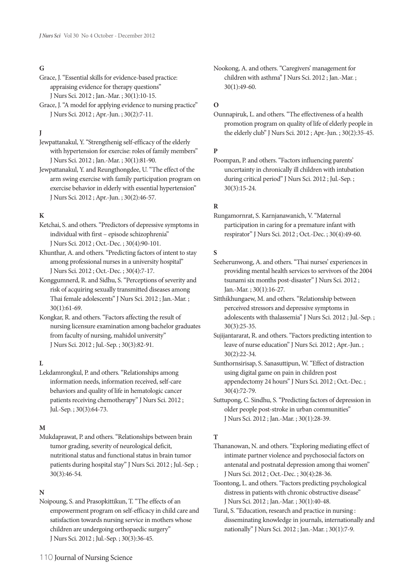## **G**

- Grace, J."Essential skills for evidence-based practice: appraising evidence for therapy questions" J Nurs Sci. 2012 ; Jan.-Mar. ; 30(1):10-15.
- Grace, J."A model for applying evidence to nursing practice" J Nurs Sci. 2012 ; Apr.-Jun. ; 30(2):7-11.

## **J**

- Jewpattanakul, Y."Strengthenig self-efficacy of the elderly with hypertension for exercise: roles of family members" J Nurs Sci. 2012 ; Jan.-Mar. ; 30(1):81-90.
- Jewpattanakul, Y. and Reungthongdee, U."The effect of the arm swing exercise with family participation program on exercise behavior in elderly with essential hypertension" J Nurs Sci. 2012 ; Apr.-Jun. ; 30(2):46-57.

### **K**

- Ketchai, S. and others."Predictors of depressive symptoms in individual with first – episode schizophrenia" J Nurs Sci. 2012 ; Oct.-Dec. ; 30(4):90-101.
- Khunthar, A. and others."Predicting factors of intent to stay among professional nurses in a university hospital" J Nurs Sci. 2012 ; Oct.-Dec. ; 30(4):7-17.
- Konggumnerd, R. and Sidhu, S."Perceptions of severity and risk of acquiring sexually transmitted diseases among Thai female adolescents" J Nurs Sci. 2012 ; Jan.-Mar. ; 30(1):61-69.
- Kongkar, R. and others."Factors affecting the result of nursing licensure examination among bachelor graduates from faculty of nursing, mahidol university" J Nurs Sci. 2012 ; Jul.-Sep. ; 30(3):82-91.

### **L**

Lekdamrongkul, P. and others."Relationships among information needs, information received, self-care behaviors and quality of life in hematologic cancer patients receiving chemotherapy" J Nurs Sci. 2012 ; Jul.-Sep. ; 30(3):64-73.

### **M**

Mukdaprawat, P. and others."Relationships between brain tumor grading, severity of neurological deficit, nutritional status and functional status in brain tumor patients during hospital stay" J Nurs Sci. 2012 ; Jul.-Sep. ; 30(3):46-54.

### **N**

Noipoung, S. and Prasopkittikun, T."The effects of an empowerment program on self-efficacy in child care and satisfaction towards nursing service in mothers whose children are undergoing orthopaedic surgery" J Nurs Sci. 2012 ; Jul.-Sep. ; 30(3):36-45.

Nookong, A. and others."Caregivers' management for children with asthma" J Nurs Sci. 2012 ; Jan.-Mar. ; 30(1):49-60.

### **O**

Ounnapiruk, L. and others."The effectiveness of a health promotion program on quality of life of elderly people in the elderly club" J Nurs Sci. 2012 ; Apr.-Jun. ; 30(2):35-45.

## **P**

Poompan, P. and others."Factors influencing parents' uncertainty in chronically ill children with intubation during critical period" J Nurs Sci. 2012 ; Jul.-Sep. ; 30(3):15-24.

### **R**

Rungamornrat, S. Karnjanawanich, V."Maternal participation in caring for a premature infant with respirator" J Nurs Sci. 2012 ; Oct.-Dec. ; 30(4):49-60.

### **S**

Seeherunwong, A. and others."Thai nurses' experiences in providing mental health services to servivors of the 2004 tsunami six months post-disaster" J Nurs Sci. 2012 ; Jan.-Mar. ; 30(1):16-27.

Sitthikhungaew, M. and others."Relationship between perceived stressors and depressive symptoms in adolescents with thalassemia" J Nurs Sci. 2012 ; Jul.-Sep. ; 30(3):25-35.

Sujijantararat, R. and others."Factors predicting intention to leave of nurse education" J Nurs Sci. 2012 ; Apr.-Jun. ; 30(2):22-34.

Sunthornsirisap, S. Sanasuttipun, W."Effect of distraction using digital game on pain in children post appendectomy 24 hours" J Nurs Sci. 2012 ; Oct.-Dec. ; 30(4):72-79.

Suttupong, C. Sindhu, S."Predicting factors of depression in older people post-stroke in urban communities" J Nurs Sci. 2012 ; Jan.-Mar. ; 30(1):28-39.

### **T**

Thananowan, N. and others."Exploring mediating effect of intimate partner violence and psychosocial factors on antenatal and postnatal depression among thai women" J Nurs Sci. 2012 ; Oct.-Dec. ; 30(4):28-36.

Toontong, L. and others."Factors predicting psychological distress in patients with chronic obstructive disease" J Nurs Sci. 2012 ; Jan.-Mar. ; 30(1):40-48.

Tural, S."Education, research and practice in nursing : disseminating knowledge in journals, internationally and nationally" J Nurs Sci. 2012 ; Jan.-Mar. ; 30(1):7-9.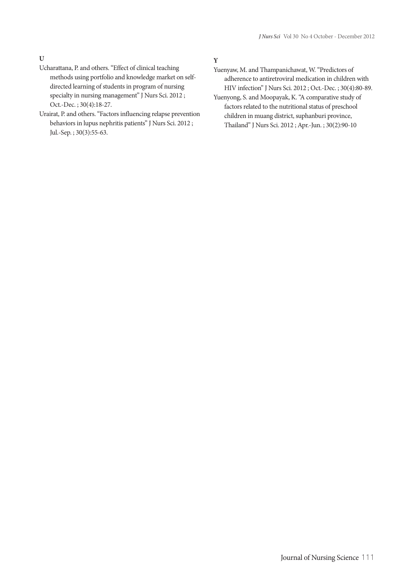## **U**

- Ucharattana, P. and others."Effect of clinical teaching methods using portfolio and knowledge market on self- directed learning of students in program of nursing specialty in nursing management" J Nurs Sci. 2012 ; Oct.-Dec. ; 30(4):18-27.
- Urairat, P. and others."Factors influencing relapse prevention behaviors in lupus nephritis patients" J Nurs Sci. 2012 ; Jul.-Sep. ; 30(3):55-63.

## **Y**

- Yuenyaw, M. and Thampanichawat, W."Predictors of adherence to antiretroviral medication in children with HIV infection" J Nurs Sci. 2012 ; Oct.-Dec. ; 30(4):80-89.
- Yuenyong, S. and Moopayak, K."A comparative study of factors related to the nutritional status of preschool children in muang district, suphanburi province, Thailand" J Nurs Sci. 2012 ; Apr.-Jun. ; 30(2):90-10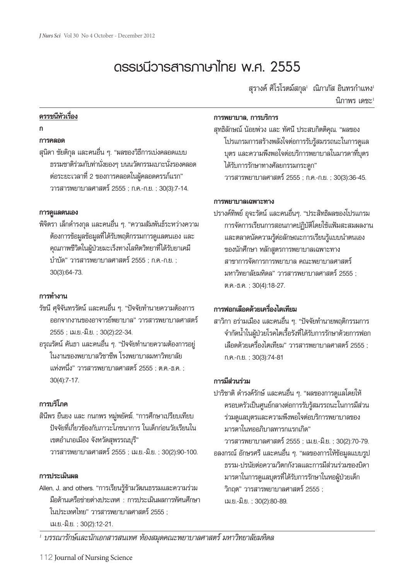# **ดรรชนีวารสารภาษาไทย พ.ศ. 2555**

ี่สุรางค์ ศิโรโรตม์สกุล<sup>เ</sup> ณิภาภัส อินทรกำแหง<sup>เ</sup> นิภาพร เดชะ<sup>1</sup>

# **ดรรชนีหัวเรื่อง**

## **ก**

## **การคลอด**

สุนิดา ชัยติกุล และคนอื่น ๆ. "ผลของวิธีการเบ่งคลอดแบบ ธรรมชาติร่วมกับท่านั่งยองๆ บนนวัตกรรมเบาะนั่งรองคลอด ต่อระยะเวลาที่2 ของการคลอดในผู้คลอดครรภ์แรก" วารสารพยาบาลศาสตร์2555 ; ก.ค.-ก.ย. ; 30(3):7-14.

## **การดูแลตนเอง**

พิจิตรา เล็กดำรงกุล และคนอื่น ๆ. "ความสัมพันธ์ระหว่างความ ต้องการข้อมูลข้อมูลที่ได้รับพฤติกรรมการดูแลตนเอง และ คุณภาพชีวิตในผู้ป่วยมะเร็งทางโลหิตวิทยาที่ได้รับยาเคมี บำบัด" วารสารพยาบาลศาสตร์2555 ; ก.ค.-ก.ย. ; 30(3):64-73.

## **การทำงาน**

รัชนี ศุจิจันทรรัตน์ และคนอื่น ๆ. "ปัจจัยทำนายความต้องการ ออกจากงานของอาจารย์พยาบาล" วารสารพยาบาลศาสตร์ 2555 ; เม.ย.-มิ.ย. ; 30(2):22-34.

อรุณรัตน์คันธา และคนอื่น ๆ. "ปัจจัยทำนายความต้องการอยู่ ในงานของพยาบาลวิชาชีพ โรงพยาบาลมหาวิทยาลัย แห่งหนึ่ง" วารสารพยาบาลศาสตร์2555 ; ต.ค.-ธ.ค. ; 30(4):7-17.

# **การบริโภค**

สินีพร ยืนยง และ กนกพร หมู่พยัคฆ์. "การศึกษาเปรียบเทียบ ปัจจัยที่เกี่ยวข้องกับภาวะโภชนาการ ในเด็กก่อนวัยเรียนใน เขตอำเภอเมือง จังหวัดสุพรรณบุรี" วารสารพยาบาลศาสตร์2555 ; เม.ย.-มิ.ย. ; 30(2):90-100.

## **การประเมินผล**

Allen, J. and others. "การเรียนรู้ข้ามวัฒนธรรมและความร่วม มือด้านเครือข่ายต่างประเทศ : การประเมินผลการทัศนศึกษา ในประเทศไทย" วารสารพยาบาลศาสตร์ 2555 ; เม.ย.-มิ.ย. ; 30(2):12-21.

## **การพยาบาล, การบริการ**

สุทธิลักษณ์ น้อยพ่วง และ ทัศนี ประสบกิตติคุณ. "ผลของ โปรแกรมการสร้างพลังใจต่อการรับรู้สมรรถนะในการดูแล บุตร และความพึงพอใจต่อบริการพยาบาลในมารดาที่บุตร ได้รับการรักษาทางศัลยกรรมกระดูก" วารสารพยาบาลศาสตร์2555 ; ก.ค.-ก.ย. ; 30(3):36-45.

## **การพยาบาลเฉพาะทาง**

ปรางค์ทิพย์อุจะรัตน์และคนอื่นๆ. "ประสิทธิผลของโปรแกรม การจัดการเรียนการสอนภาคปฏิบัติโดยใช้แฟ้มสะสมผลงาน และตลาดนัดความรู้ต่อลักษณะการเรียนรู้แบบนำตนเอง ของนักศึกษา หลักสูตรการพยาบาลเฉพาะทาง สาขาการจัดการการพยาบาล คณะพยาบาลศาสตร์ มหาวิทยาลัยมหิดล" วารสารพยาบาลศาสตร์ 2555 : ต.ค.-ธ.ค. ; 30(4):18-27.

# **การฟอกเลือดด้วยเครื่องไตเทียม**

สาวิกา อร่ามเมือง และคนอื่น ๆ. "ปัจจัยทำนายพฤติกรรมการ จำกัดน้ำในผู้ป่วยโรคไตเรื้อรังที่ได้รับการรักษาด้วยการฟอก เลือดด้วยเครื่องไตเทียม" วารสารพยาบาลศาสตร์ 2555 ; ก.ค.-ก.ย. ; 30(3):74-81

# **การมีส่วนร่วม**

ปาริชาติดำรงค์รักษ์และคนอื่น ๆ. "ผลของการดูแลโดยให้ ครอบครัวเป็นศูนย์กลางต่อการรับรู้สมรรถนะในการมีส่วน ร่วมดูแลบุตรและความพึงพอใจต่อบริการพยาบาลของ มารดาในหออภิบาลทารกแรกเกิด"

วารสารพยาบาลศาสตร์2555 ; เม.ย.-มิ.ย. ; 30(2):70-79. อลงกรณ์อักษรศรีและคนอื่น ๆ. "ผลของการให้ข้อมูลแบบรูป ธรรม-ปรนัยต่อความวิตกกังวลและการมีส่วนร่วมของบิดา มารดาในการดูแลบุตรที่ได้รับการรักษาในหอผู้ป่วยเด็ก วิกฤต" วารสารพยาบาลศาสตร์ 2555 ; เม.ย.-มิ.ย. ; 30(2):80-89.

*1 บรรณารักษ์และนักเอกสารสนเทศ ห้องสมุดคณะพยาบาลศาสตร์ มหาวิทยาลัยมหิดล*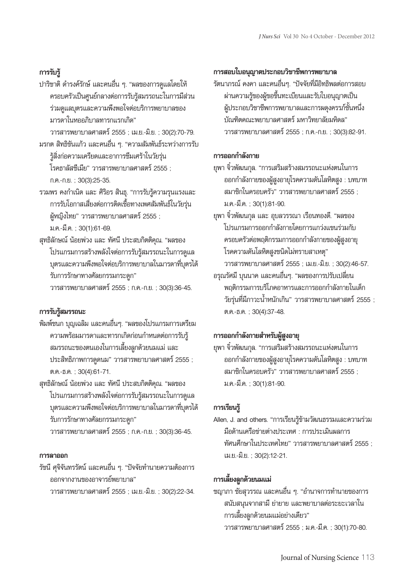# **การรับรู้**

ปาริชาติดำรงค์รักษ์และคนอื่น ๆ. "ผลของการดูแลโดยให้ ครอบครัวเป็นศูนย์กลางต่อการรับรู้สมรรถนะในการมีส่วน ร่วมดูแลบุตรและความพึงพอใจต่อบริการพยาบาลของ มารดาในหออภิบาลทารกแรกเกิด"

วารสารพยาบาลศาสตร์2555 ; เม.ย.-มิ.ย. ; 30(2):70-79. มรกต สิทธิขันแก้ว และคนอื่น ๆ. "ความสัมพันธ์ระหว่างการรับ

รู้สิ่งก่อความเครียดและอาการซึมเศร้าในวัยรุ่น โรคธาลัสซีเมีย" วารสารพยาบาลศาสตร์ 2555 ;

ก.ค.-ก.ย. ; 30(3):25-35.

รวมพร คงกำเนิด และ ศิริอร สินธุ. "การรับรู้ความรุนแรงและ การรับโอกาสเสี่ยงต่อการติดเชื้อทางเพศสัมพันธ์ในวัยรุ่น ผู้หญิงไทย" วารสารพยาบาลศาสตร์ 2555 ; ม.ค.-มี.ค. ; 30(1):61-69.

สุทธิลักษณ์ น้อยพ่วง และ ทัศนี ประสบกิตติคุณ. "ผลของ โปรแกรมการสร้างพลังใจต่อการรับรู้สมรรถนะในการดูแล บุตรและความพึงพอใจต่อบริการพยาบาลในมารดาที่บุตรได้ รับการรักษาทางศัลยกรรมกระดูก" วารสารพยาบาลศาสตร์2555 ; ก.ค.-ก.ย. ; 30(3):36-45.

# **การรับรู้สมรรถนะ**

พิมพ์ชนก บุญเฉลิม และคนอื่นๆ. "ผลของโปรแกรมการเตรียม ความพร้อมมารดาและทารกเกิดก่อนกำหนดต่อการรับรู้ สมรรถนะของตนเองในการเลี้ยงลูกด้วยนมแม่ และ ประสิทธิภาพการดูดนม" วารสารพยาบาลศาสตร์2555 ; ต.ค.-ธ.ค. ; 30(4):61-71.

สุทธิลักษณ์ น้อยพ่วง และ ทัศนี ประสบกิตติคุณ. "ผลของ โปรแกรมการสร้างพลังใจต่อการรับรู้สมรรถนะในการดูแล บุตรและความพึงพอใจต่อบริการพยาบาลในมารดาที่บุตรได้ รับการรักษาทางศัลยกรรมกระดูก"

วารสารพยาบาลศาสตร์2555 ; ก.ค.-ก.ย. ; 30(3):36-45.

## **การลาออก**

รัชนี ศุจิจันทรรัตน์ และคนอื่น ๆ. "ปัจจัยทำนายความต้องการ ออกจากงานของอาจารย์พยาบาล"

วารสารพยาบาลศาสตร์2555 ; เม.ย.-มิ.ย. ; 30(2):22-34.

# **การสอบใบอนุญาตประกอบวิชาชีพการพยาบาล**

รัตนาภรณ์ คงคา และคนอื่นๆ. "ปัจจัยที่มีอิทธิพลต่อการสอบ ผ่านความรู้ของผู้ขอขึ้นทะเบียนและรับใบอนุญาตเป็น ผู้ประกอบวิชาชีพการพยาบาลและการผดุงครรภ์ชั้นหนึ่ง บัณฑิตคณะพยาบาลศาสตร์ มหาวิทยาลัยมหิดล" วารสารพยาบาลศาสตร์2555 ; ก.ค.-ก.ย. ; 30(3):82-91.

# **การออกกำลังกาย**

ยุพา จิ๋วพัฒนกุล. "การเสริมสร้างสมรรถนะแห่งตนในการ ออกกำลังกายของผู้สูงอายุโรคความดันโลหิตสูง : บทบาท สมาชิกในครอบครัว" วารสารพยาบาลศาสตร์ 2555 ; ม.ค.-มี.ค. ; 30(1):81-90.

ยุพา จิ๋วพัฒนกุล และ อุบลวรรณา เรือนทองดี. "ผลของ โปรแกรมการออกกำลังกายโดยการแกว่งแขนร่วมกับ ครอบครัวต่อพฤติกรรมการออกกำลังกายของผู้สูงอายุ โรคความดันโลหิตสูงชนิดไม่ทราบสาเหตุ"

วารสารพยาบาลศาสตร์2555 ; เม.ย.-มิ.ย. ; 30(2):46-57. อรุณรัศมีบุนนาค และคนอื่นๆ. "ผลของการปรับเปลี่ยน พฤติกรรมการบริโภคอาหารและการออกกำลังกายในเด็ก ้วัยรุ่นที่มีภาวะน้ำหนักเกิน" วารสารพยาบาลศาสตร์ 2555 ; ต.ค.-ธ.ค. ; 30(4):37-48.

# **การออกกำลังกายสำหรับผู้สูงอายุ**

ยุพา จิ๋วพัฒนกุล. "การเสริมสร้างสมรรถนะแห่งตนในการ ออกกำลังกายของผู้สูงอายุโรคความดันโลหิตสูง : บทบาท สมาชิกในครอบครัว" วารสารพยาบาลศาสตร์ 2555 : ม.ค.-มี.ค. ; 30(1):81-90.

# **การเรียนรู้**

Allen, J. and others. "การเรียนรู้ข้ามวัฒนธรรมและความร่วม มือด้านเครือข่ายต่างประเทศ : การประเมินผลการ ทัศนศึกษาในประเทศไทย" วารสารพยาบาลศาสตร์2555 ; เม.ย.-มิ.ย. ; 30(2):12-21.

# **การเลี้ยงลูกด้วยนมแม่**

ชญาภา ชัยสุวรรณ และคนอื่น ๆ. "อำนาจการทำนายของการ สนับสนุนจากสามีย่ายาย และพยาบาลต่อระยะเวลาใน การเลี้ยงลูกด้วยนมแม่อย่างเดียว" วารสารพยาบาลศาสตร์2555 ; ม.ค.-มี.ค. ; 30(1):70-80.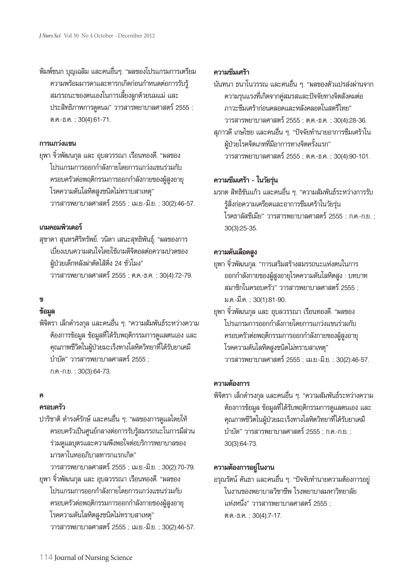พิมพ์ชนก บุญเฉลิม และคนอื่นๆ. "ผลของโปรแกรมการเตรียม ความพร้อมมารดาและทารกเกิดก่อนกำหนดต่อการรับรู้ สมรรถนะของตนเองในการเลี้ยงลูกด้วยนมแม่ และ ประสิทธิภาพการดูดนม" วารสารพยาบาลศาสตร์2555 ; ต.ค.-ธ.ค. ; 30(4):61-71.

## **การแกว่งแขน**

ยุพา จิ๋วพัฒนกุล และ อุบลวรรณา เรือนทองดี. "ผลของ โปรแกรมการออกกำลังกายโดยการแกว่งแขนร่วมกับ ครอบครัวต่อพฤติกรรมการออกกำลังกายของผู้สูงอายุ โรคความดันโลหิตสูงชนิดไม่ทราบสาเหตุ" วารสารพยาบาลศาสตร์2555 ; เม.ย.-มิ.ย. ; 30(2):46-57.

## **เกมคอมพิวเตอร์**

สุชาดา สุนทรศิริทรัพย์, วนิดา เสนะสุทธิพันธุ์. "ผลของการ เบี่ยงเบนความสนใจโดยใช้เกมดิจิตอลต่อความปวดของ ผู้ป่วยเด็กหลังผ่าตัดไส้ติ่ง 24 ชั่วโมง" วารสารพยาบาลศาสตร์2555 ; ต.ค.-ธ.ค. ; 30(4):72-79.

# **ข**

# **ข้อมูล**

พิจิตรา เล็กดำรงกุล และคนอื่น ๆ. "ความสัมพันธ์ระหว่างความ ต้องการข้อมูล ข้อมูลที่ได้รับพฤติกรรมการดูแลตนเอง และ คุณภาพชีวิตในผู้ป่วยมะเร็งทางโลหิตวิทยาที่ได้รับยาเคมี บำบัด" วารสารพยาบาลศาสตร์ 2555 : ก.ค.-ก.ย. ; 30(3):64-73.

## **ค**

# **ครอบครัว**

- ปาริชาติดำรงค์รักษ์และคนอื่น ๆ. "ผลของการดูแลโดยให้ ครอบครัวเป็นศูนย์กลางต่อการรับรู้สมรรถนะในการมีส่วน ร่วมดูแลบุตรและความพึงพอใจต่อบริการพยาบาลของ มารดาในหออภิบาลทารกแรกเกิด"
- วารสารพยาบาลศาสตร์2555 ; เม.ย.-มิ.ย. ; 30(2):70-79. ยุพา จิ๋วพัฒนกุล และ อุบลวรรณา เรือนทองดี. "ผลของ
	- โปรแกรมการออกกำลังกายโดยการแกว่งแขนร่วมกับ ครอบครัวต่อพฤติกรรมการออกกำลังกายของผู้สูงอายุ โรคความดันโลหิตสูงชนิดไม่ทราบสาเหตุ" วารสารพยาบาลศาสตร์2555 ; เม.ย.-มิ.ย. ; 30(2):46-57.

# **ความซึมเศร้า**

- นันทนา ธนาโนวรรณ และคนอื่น ๆ. "ผลของตัวแปรส่งผ่านจาก ความรุนแรงที่เกิดจากคู่สมรสและปัจจัยทางจิตสังคมต่อ ภาวะซึมเศร้าก่อนคลอดและหลังคลอดในสตรีไทย" วารสารพยาบาลศาสตร์2555 ; ต.ค.-ธ.ค. ; 30(4):28-36. สุภาวดีเกษไชย และคนอื่น ๆ. "ปัจจัยทำนายอาการซึมเศร้าใน ผู้ป่วยโรคจิตเภทที่มีอาการทางจิตครั้งแรก"
	- วารสารพยาบาลศาสตร์2555 ; ต.ค.-ธ.ค. ; 30(4):90-101.

## **ความซึมเศร้า - ในวัยรุ่น**

มรกต สิทธิขันแก้ว และคนอื่น ๆ. "ความสัมพันธ์ระหว่างการรับ รู้สิ่งก่อความเครียดและอาการซึมเศร้าในวัยรุ่น โรคธาลัสซีเมีย" วารสารพยาบาลศาสตร์2555 ; ก.ค.-ก.ย. ; 30(3):25-35.

# **ความดันเลือดสูง**

- ยุพา จิ๋วพัฒนกุล. "การเสริมสร้างสมรรถนะแห่งตนในการ ออกกำลังกายของผู้สูงอายุโรคความดันโลหิตสูง : บทบาท สมาชิกในครอบครัว" วารสารพยาบาลศาสตร์ 2555 ; ม.ค.-มี.ค. ; 30(1):81-90.
- ยุพา จิ๋วพัฒนกุล และ อุบลวรรณา เรือนทองดี. "ผลของ โปรแกรมการออกกำลังกายโดยการแกว่งแขนร่วมกับ ครอบครัวต่อพฤติกรรมการออกกำลังกายของผู้สูงอายุ โรคความดันโลหิตสูงชนิดไม่ทราบสาเหตุ" วารสารพยาบาลศาสตร์2555 ; เม.ย.-มิ.ย. ; 30(2):46-57.

# **ความต้องการ**

พิจิตรา เล็กดำรงกุล และคนอื่น ๆ. "ความสัมพันธ์ระหว่างความ ต้องการข้อมูล ข้อมูลที่ได้รับพฤติกรรมการดูแลตนเอง และ คุณภาพชีวิตในผู้ป่วยมะเร็งทางโลหิตวิทยาที่ได้รับยาเคมี บำบัด" วารสารพยาบาลศาสตร์2555 ; ก.ค.-ก.ย. ; 30(3):64-73.

## **ความต้องการอยู่ในงาน**

อรุณรัตน์คันธา และคนอื่น ๆ. "ปัจจัยทำนายความต้องการอยู่ ในงานของพยาบาลวิชาชีพ โรงพยาบาลมหาวิทยาลัย แห่งหนึ่ง" วารสารพยาบาลศาสตร์ 2555 ; ต.ค.-ธ.ค. ; 30(4):7-17.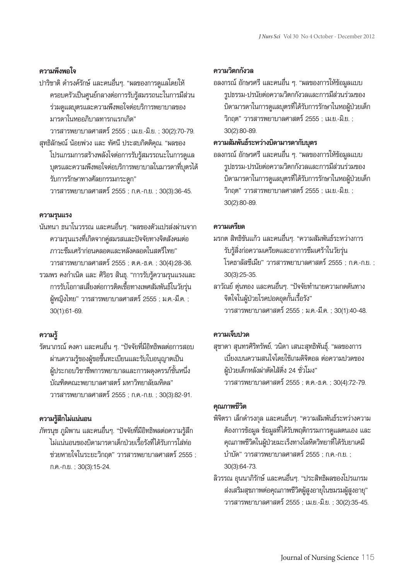## **ความพึงพอใจ**

ปาริชาติ ดำรงค์รักษ์ และคนอื่นๆ. "ผลของการดูแลโดยให้ ครอบครัวเป็นศูนย์กลางต่อการรับรู้สมรรถนะในการมีส่วน ร่วมดูแลบุตรและความพึงพอใจต่อบริการพยาบาลของ มารดาในหออภิบาลทารกแรกเกิด"

วารสารพยาบาลศาสตร์2555 ; เม.ย.-มิ.ย. ; 30(2):70-79. สุทธิลักษณ์ น้อยพ่วง และ ทัศนี ประสบกิตติคุณ. "ผลของ

โปรแกรมการสร้างพลังใจต่อการรับรู้สมรรถนะในการดูแล บุตรและความพึงพอใจต่อบริการพยาบาลในมารดาที่บุตรได้ รับการรักษาทางศัลยกรรมกระดูก" วารสารพยาบาลศาสตร์2555 ; ก.ค.-ก.ย. ; 30(3):36-45.

## **ความรุนแรง**

นันทนา ธนาโนวรรณ และคนอื่นๆ. "ผลของตัวแปรส่งผ่านจาก ความรุนแรงที่เกิดจากคู่สมรสและปัจจัยทางจิตสังคมต่อ ภาวะซึมเศร้าก่อนคลอดและหลังคลอดในสตรีไทย" วารสารพยาบาลศาสตร์2555 ; ต.ค.-ธ.ค. ; 30(4):28-36. รวมพร คงกำเนิด และ ศิริอร สินธุ. "การรับรู้ความรุนแรงและ การรับโอกาสเสี่ยงต่อการติดเชื้อทางเพศสัมพันธ์ในวัยรุ่น ผู้หญิงไทย" วารสารพยาบาลศาสตร์ 2555 ; ม.ค.-มี.ค. ; 30(1):61-69.

## **ความรู้**

รัตนาภรณ์คงคา และคนอื่น ๆ. "ปัจจัยที่มีอิทธิพลต่อการสอบ ผ่านความรู้ของผู้ขอขึ้นทะเบียนและรับใบอนุญาตเป็น ผู้ประกอบวิชาชีพการพยาบาลและการผดุงครรภ์ชั้นหนึ่ง บัณฑิตคณะพยาบาลศาสตร์ มหาวิทยาลัยมหิดล" วารสารพยาบาลศาสตร์2555 ; ก.ค.-ก.ย. ; 30(3):82-91.

# **ความรู้สึกไม่แน่นอน**

ภัทรนุช ภูมิพาน และคนอื่นๆ. "ปัจจัยที่มีอิทธิพลต่อความรู้สึก ไม่แน่นอนของบิดามารดาเด็กป่วยเรื้อรังที่ได้รับการใส่ท่อ ช่วยหายใจในระยะวิกฤต" วารสารพยาบาลศาสตร์2555 ; ก.ค.-ก.ย. ; 30(3):15-24.

# **ความวิตกกังวล**

อลงกรณ์อักษรศรีและคนอื่น ๆ. "ผลของการให้ข้อมูลแบบ รูปธรรม-ปรนัยต่อความวิตกกังวลและการมีส่วนร่วมของ บิดามารดาในการดูแลบุตรที่ได้รับการรักษาในหอผู้ป่วยเด็ก วิกฤต" วารสารพยาบาลศาสตร์2555 ; เม.ย.-มิ.ย. ; 30(2):80-89.

# **ความสัมพันธ์ระหว่างบิดามารดากับบุตร**

อลงกรณ์อักษรศรีและคนอื่น ๆ. "ผลของการให้ข้อมูลแบบ รูปธรรม-ปรนัยต่อความวิตกกังวลและการมีส่วนร่วมของ บิดามารดาในการดูแลบุตรที่ได้รับการรักษาในหอผู้ป่วยเด็ก วิกฤต" วารสารพยาบาลศาสตร์2555 ; เม.ย.-มิ.ย. ; 30(2):80-89.

## **ความเครียด**

- มรกต สิทธิขันแก้ว และคนอื่นๆ. "ความสัมพันธ์ระหว่างการ รับรู้สิ่งก่อความเครียดและอาการซึมเศร้าในวัยรุ่น โรคธาลัสซีเมีย" วารสารพยาบาลศาสตร์2555 ; ก.ค.-ก.ย. ; 30(3):25-35.
- ลาวัณย์ตุ่นทอง และคนอื่นๆ. "ปัจจัยทำนายความกดดันทาง จิตใจในผู้ป่วยโรคปอดอุดกั้นเรื้อรัง" วารสารพยาบาลศาสตร์2555 ; ม.ค.-มี.ค. ; 30(1):40-48.

# **ความเจ็บปวด**

สุชาดา สุนทรศิริทรัพย์, วนิดา เสนะสุทธิพันธุ์. "ผลของการ เบี่ยงเบนความสนใจโดยใช้เกมดิจิตอล ต่อความปวดของ ผู้ป่วยเด็กหลังผ่าตัดไส้ติ่ง 24 ชั่วโมง" วารสารพยาบาลศาสตร์2555 ; ต.ค.-ธ.ค. ; 30(4):72-79.

## **คุณภาพชีวิต**

- พิจิตรา เล็กดำรงกุล และคนอื่นๆ. "ความสัมพันธ์ระหว่างความ ต้องการข้อมูล ข้อมูลที่ได้รับพฤติกรรมการดูแลตนเอง และ คุณภาพชีวิตในผู้ป่วยมะเร็งทางโลหิตวิทยาที่ได้รับยาเคมี บำบัด" วารสารพยาบาลศาสตร์2555 ; ก.ค.-ก.ย. ; 30(3):64-73.
- ลิวรรณ อุนนาภิรักษ์และคนอื่นๆ. "ประสิทธิผลของโปรแกรม ส่งเสริมสุขภาพต่อคุณภาพชีวิตผู้สูงอายุในชมรมผู้สูงอายุ" วารสารพยาบาลศาสตร์2555 ; เม.ย.-มิ.ย. ; 30(2):35-45.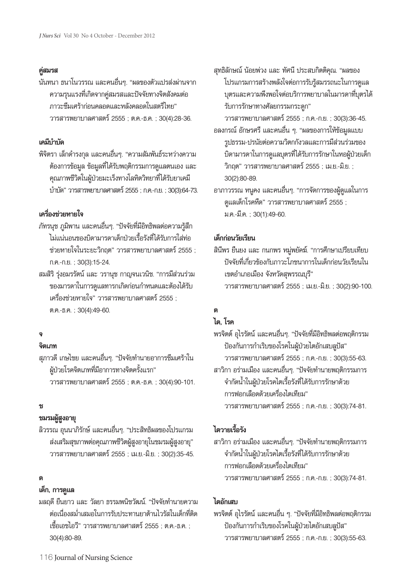## **คู่สมรส**

นันทนา ธนาโนวรรณ และคนอื่นๆ. "ผลของตัวแปรส่งผ่านจาก ความรุนแรงที่เกิดจากคู่สมรสและปัจจัยทางจิตสังคมต่อ ภาวะซึมเศร้าก่อนคลอดและหลังคลอดในสตรีไทย" วารสารพยาบาลศาสตร์2555 ; ต.ค.-ธ.ค. ; 30(4):28-36.

## **เคมีบำบัด**

พิจิตรา เล็กดำรงกุล และคนอื่นๆ. "ความสัมพันธ์ระหว่างความ ต้องการข้อมูล ข้อมูลที่ได้รับพฤติกรรมการดูแลตนเอง และ คุณภาพชีวิตในผู้ป่วยมะเร็งทางโลหิตวิทยาที่ได้รับยาเคมี บำบัด"วารสารพยาบาลศาสตร์2555;ก.ค.-ก.ย. ;30(3):64-73.

# **เครื่องช่วยหายใจ**

- ภัทรนุช ภูมิพาน และคนอื่นๆ. "ปัจจัยที่มีอิทธิพลต่อความรู้สึก ไม่แน่นอนของบิดามารดาเด็กป่วยเรื้อรังที่ได้รับการใส่ท่อ ช่วยหายใจในระยะวิกฤต" วารสารพยาบาลศาสตร์ 2555 ; ก.ค.-ก.ย. ; 30(3):15-24.
- สมสิริรุ่งอมรรัตน์และ วรานุช กาญจนเวนิช. "การมีส่วนร่วม ของมารดาในการดูแลทารกเกิดก่อนกำหนดและต้องได้รับ เครื่องช่วยหายใจ" วารสารพยาบาลศาสตร์ 2555 : ต.ค.-ธ.ค. ; 30(4):49-60.

# **จ**

## **จิตเภท**

สุภาวดีเกษไชย และคนอื่นๆ. "ปัจจัยทำนายอาการซึมเศร้าใน ผู้ป่วยโรคจิตเภทที่มีอาการทางจิตครั้งแรก" วารสารพยาบาลศาสตร์2555 ; ต.ค.-ธ.ค. ; 30(4):90-101.

## **ช**

## **ชมรมผู้สูงอายุ**

ลิวรรณ อุนนาภิรักษ์และคนอื่นๆ. "ประสิทธิผลของโปรแกรม ส่งเสริมสุขภาพต่อคุณภาพชีวิตผู้สูงอายุในชมรมผู้สูงอายุ" วารสารพยาบาลศาสตร์2555 ; เม.ย.-มิ.ย. ; 30(2):35-45.

## **ด**

## **เด็ก, การดูแล**

มลฤดียืนยาว และ วัลยา ธรรมพนิชวัฒน์. "ปัจจัยทำนายความ ต่อเนื่องสม่ำเสมอในการรับประทานยาต้านไวรัสในเด็กที่ติด เชื้อเอชไอวี" วารสารพยาบาลศาสตร์2555 ; ต.ค.-ธ.ค. ; 30(4):80-89.

สุทธิลักษณ์ น้อยพ่วง และ ทัศนี ประสบกิตติคุณ. "ผลของ โปรแกรมการสร้างพลังใจต่อการรับรู้สมรรถนะในการดูแล บุตรและความพึงพอใจต่อบริการพยาบาลในมารดาที่บุตรได้ รับการรักษาทางศัลยกรรมกระดูก"

วารสารพยาบาลศาสตร์2555 ; ก.ค.-ก.ย. ; 30(3):36-45. อลงกรณ์อักษรศรีและคนอื่น ๆ. "ผลของการให้ข้อมูลแบบ

- รูปธรรม-ปรนัยต่อความวิตกกังวลและการมีส่วนร่วมของ บิดามารดาในการดูแลบุตรที่ได้รับการรักษาในหอผู้ป่วยเด็ก วิกฤต" วารสารพยาบาลศาสตร์2555 ; เม.ย.-มิ.ย. ; 30(2):80-89.
- อาภาวรรณ หนูคง และคนอื่นๆ. "การจัดการของผู้ดูแลในการ ดูแลเด็กโรคหืด" วารสารพยาบาลศาสตร์ 2555 ; ม.ค.-มี.ค. ; 30(1):49-60.

# **เด็กก่อนวัยเรียน**

สินีพร ยืนยง และ กนกพร หมู่พยัคฆ์. "การศึกษาเปรียบเทียบ ปัจจัยที่เกี่ยวข้องกับภาวะโภชนาการในเด็กก่อนวัยเรียนใน เขตอำเภอเมือง จังหวัดสุพรรณบุรี" วารสารพยาบาลศาสตร์2555 ; เม.ย.-มิ.ย. ; 30(2):90-100.

# **ต**

# **ไต, โรค**

พรจิตต์อุไรรัตน์และคนอื่นๆ. "ปัจจัยที่มีอิทธิพลต่อพฤติกรรม ป้องกันการกำเริบของโรคในผู้ป่วยไตอักเสบลูปัส" วารสารพยาบาลศาสตร์2555 ; ก.ค.-ก.ย. ; 30(3):55-63. สาวิกา อร่ามเมือง และคนอื่นๆ. "ปัจจัยทำนายพฤติกรรมการ จำกัดน้ำในผู้ป่วยโรคไตเรื้อรังที่ได้รับการรักษาด้วย การฟอกเลือดด้วยเครื่องไตเทียม" วารสารพยาบาลศาสตร์2555 ; ก.ค.-ก.ย. ; 30(3):74-81.

# **ไตวายเรื้อรัง**

สาวิกา อร่ามเมือง และคนอื่นๆ. "ปัจจัยทำนายพฤติกรรมการ จำกัดน้ำในผู้ป่วยโรคไตเรื้อรังที่ได้รับการรักษาด้วย การฟอกเลือดด้วยเครื่องไตเทียม" วารสารพยาบาลศาสตร์2555 ; ก.ค.-ก.ย. ; 30(3):74-81.

# **ไตอักเสบ**

พรจิตต์อุไรรัตน์และคนอื่น ๆ. "ปัจจัยที่มีอิทธิพลต่อพฤติกรรม ป้องกันการกำเริบของโรคในผู้ป่วยไตอักเสบลูปัส" วารสารพยาบาลศาสตร์2555 ; ก.ค.-ก.ย. ; 30(3):55-63.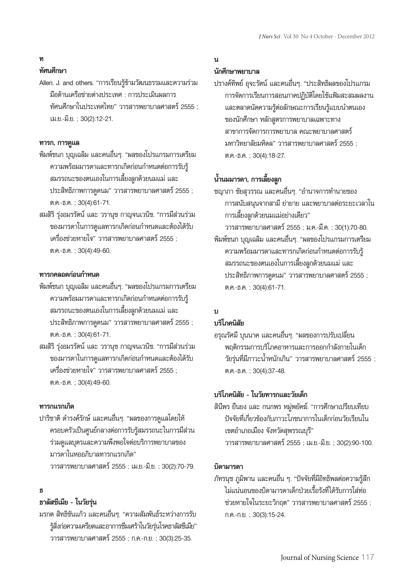## **ท**

# **ทัศนศึกษา**

Allen, J. and others. "การเรียนรู้ข้ามวัฒนธรรมและความร่วม มือด้านเครือข่ายต่างประเทศ : การประเมินผลการ ทัศนศึกษาในประเทศไทย" วารสารพยาบาลศาสตร์2555 ; เม.ย.-มิ.ย. ; 30(2):12-21.

## **ทารก, การดูแล**

- พิมพ์ชนก บุญเฉลิม และคนอื่นๆ. "ผลของโปรแกรมการเตรียม ความพร้อมมารดาและทารกเกิดก่อนกำหนดต่อการรับรู้ สมรรถนะของตนเองในการเลี้ยงลูกด้วยนมแม่ และ ประสิทธิภาพการดูดนม" วารสารพยาบาลศาสตร์2555 ; ต.ค.-ธ.ค. ; 30(4):61-71.
- สมสิริรุ่งอมรรัตน์และ วรานุช กาญจนเวนิช. "การมีส่วนร่วม ของมารดาในการดูแลทารกเกิดก่อนกำหนดและต้องได้รับ เครื่องช่วยหายใจ" วารสารพยาบาลศาสตร์ 2555 : ต.ค.-ธ.ค. ; 30(4):49-60.

# **ทารกคลอดก่อนกำหนด**

- พิมพ์ชนก บุญเฉลิม และคนอื่นๆ. "ผลของโปรแกรมการเตรียม ความพร้อมมารดาและทารกเกิดก่อนกำหนดต่อการรับรู้ สมรรถนะของตนเองในการเลี้ยงลูกด้วยนมแม่ และ ประสิทธิภาพการดูดนม" วารสารพยาบาลศาสตร์2555 ; ต.ค.-ธ.ค. ; 30(4):61-71.
- สมสิริรุ่งอมรรัตน์และ วรานุช กาญจนเวนิช. "การมีส่วนร่วม ของมารดาในการดูแลทารกเกิดก่อนกำหนดและต้องได้รับ เครื่องช่วยหายใจ" วารสารพยาบาลศาสตร์2555 ; ต.ค.-ธ.ค. ; 30(4):49-60.

## **ทารกแรกเกิด**

ปาริชาติ ดำรงค์รักษ์ และคนอื่นๆ. "ผลของการดูแลโดยให้ ครอบครัวเป็นศูนย์กลางต่อการรับรู้สมรรถนะในการมีส่วน ร่วมดูแลบุตรและความพึงพอใจต่อบริการพยาบาลของ มารดาในหออภิบาลทารกแรกเกิด" วารสารพยาบาลศาสตร์2555 ; เม.ย.-มิ.ย. ; 30(2):70-79.

# **ธ**

# **ธาลัสซีเมีย - ในวัยรุ่น**

มรกต สิทธิขันแก้ว และคนอื่นๆ. "ความสัมพันธ์ระหว่างการรับ รู้สิ่งก่อความเครียดและอาการซึมเศร้าในวัยรุ่นโรคธาลัสซีเมีย" วารสารพยาบาลศาสตร์2555 ; ก.ค.-ก.ย. ; 30(3):25-35.

# **น**

# **นักศึกษาพยาบาล**

ปรางค์ทิพย์อุจะรัตน์และคนอื่นๆ. "ประสิทธิผลของโปรแกรม การจัดการเรียนการสอนภาคปฏิบัติโดยใช้แฟ้มสะสมผลงาน และตลาดนัดความรู้ต่อลักษณะการเรียนรู้แบบนำตนเอง ของนักศึกษา หลักสูตรการพยาบาลเฉพาะทาง สาขาการจัดการการพยาบาล คณะพยาบาลศาสตร์ มหาวิทยาลัยมหิดล" วารสารพยาบาลศาสตร์ 2555 : ต.ค.-ธ.ค. ; 30(4):18-27.

# **น้ำนมมารดา, การเลี้ยงลูก**

ชญาภา ชัยสุวรรณ และคนอื่นๆ. "อำนาจการทำนายของ การสนับสนุนจากสามีย่ายาย และพยาบาลต่อระยะเวลาใน การเลี้ยงลูกด้วยนมแม่อย่างเดียว"

วารสารพยาบาลศาสตร์2555 ; ม.ค.-มี.ค. ; 30(1):70-80. พิมพ์ชนก บุญเฉลิม และคนอื่นๆ. "ผลของโปรแกรมการเตรียม ความพร้อมมารดาและทารกเกิดก่อนกำหนดต่อการรับรู้ สมรรถนะของตนเองในการเลี้ยงลูกด้วยนมแม่ และ ประสิทธิภาพการดูดนม" วารสารพยาบาลศาสตร์ 2555 ; ต.ค.-ธ.ค. ; 30(4):61-71.

## **บ**

# **บริโภคนิสัย**

อรุณรัศมีบุนนาค และคนอื่นๆ. "ผลของการปรับเปลี่ยน พฤติกรรมการบริโภคอาหารและการออกกำลังกายในเด็ก ้วัยรุ่นที่มีภาวะน้ำหนักเกิน" วารสารพยาบาลศาสตร์ 2555 ; ต.ค.-ธ.ค. ; 30(4):37-48.

## **บริโภคนิสัย - ในวัยทารกและวัยเด็ก**

สินีพร ยืนยง และ กนกพร หมู่พยัคฆ์. "การศึกษาเปรียบเทียบ ปัจจัยที่เกี่ยวข้องกับภาวะโภชนาการในเด็กก่อนวัยเรียนใน เขตอำเภอเมือง จังหวัดสุพรรณบุรี" วารสารพยาบาลศาสตร์2555 ; เม.ย.-มิ.ย. ; 30(2):90-100.

## **บิดามารดา**

ภัทรนุช ภูมิพาน และคนอื่น ๆ. "ปัจจัยที่มีอิทธิพลต่อความรู้สึก ไม่แน่นอนของบิดามารดาเด็กป่วยเรื้อรังที่ได้รับการใส่ท่อ ช่วยหายใจในระยะวิกฤต" วารสารพยาบาลศาสตร์ 2555 : ก.ค.-ก.ย. ; 30(3):15-24.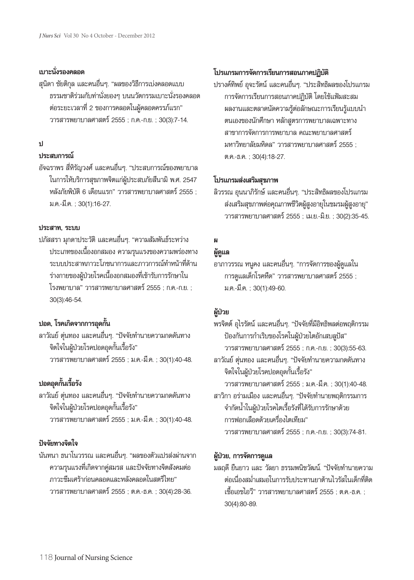# **เบาะนั่งรองคลอด**

สุนิดา ชัยติกุล และคนอื่นๆ. "ผลของวิธีการเบ่งคลอดแบบ ธรรมชาติร่วมกับท่านั่งยองๆ บนนวัตกรรมเบาะนั่งรองคลอด ต่อระยะเวลาที่2 ของการคลอดในผู้คลอดครรภ์แรก" วารสารพยาบาลศาสตร์2555 ; ก.ค.-ก.ย. ; 30(3):7-14.

# **ป**

# **ประสบการณ์**

อัจฉราพร สี่หิรัญวงศ์และคนอื่นๆ. "ประสบการณ์ของพยาบาล ในการให้บริการสุขภาพจิตแก่ผู้ประสบภัยสึนามิ พ.ศ. 2547 หลังภัยพิบัติ 6 เดือนแรก" วารสารพยาบาลศาสตร์ 2555 ; ม.ค.-มี.ค. ; 30(1):16-27.

## **ประสาท, ระบบ**

ปภัสสรา มุกดาประวัติและคนอื่นๆ. "ความสัมพันธ์ระหว่าง ประเภทของเนื้องอกสมอง ความรุนแรงของความพร่องทาง ระบบประสาทภาวะโภชนาการและภาวการณ์ทำหน้าที่ด้าน ร่างกายของผู้ป่วยโรคเนื้องอกสมองที่เข้ารับการรักษาใน โรงพยาบาล" วารสารพยาบาลศาสตร์2555 ; ก.ค.-ก.ย. ; 30(3):46-54.

# **ปอด, โรคเกิดจากการอุดกั้น**

ลาวัณย์ตุ่นทอง และคนอื่นๆ. "ปัจจัยทำนายความกดดันทาง จิตใจในผู้ป่วยโรคปอดอุดกั้นเรื้อรัง" วารสารพยาบาลศาสตร์2555 ; ม.ค.-มี.ค. ; 30(1):40-48.

# **ปอดอุดกั้นเรื้อรัง**

ลาวัณย์ตุ่นทอง และคนอื่นๆ. "ปัจจัยทำนายความกดดันทาง จิตใจในผู้ป่วยโรคปอดอุดกั้นเรื้อรัง" วารสารพยาบาลศาสตร์2555 ; ม.ค.-มี.ค. ; 30(1):40-48.

# **ปัจจัยทางจิตใจ**

นันทนา ธนาโนวรรณ และคนอื่นๆ. "ผลของตัวแปรส่งผ่านจาก ความรุนแรงที่เกิดจากคู่สมรส และปัจจัยทางจิตสังคมต่อ ภาวะซึมเศร้าก่อนคลอดและหลังคลอดในสตรีไทย" วารสารพยาบาลศาสตร์2555 ; ต.ค.-ธ.ค. ; 30(4):28-36.

# **โปรแกรมการจัดการเรียนการสอนภาคปฏิบัติ**

ปรางค์ทิพย์อุจะรัตน์และคนอื่นๆ. "ประสิทธิผลของโปรแกรม การจัดการเรียนการสอนภาคปฏิบัติโดยใช้แฟ้มสะสม ผลงานและตลาดนัดความรู้ต่อลักษณะการเรียนรู้แบบนำ ตนเองของนักศึกษา หลักสูตรการพยาบาลเฉพาะทาง สาขาการจัดการการพยาบาล คณะพยาบาลศาสตร์ มหาวิทยาลัยมหิดล" วารสารพยาบาลศาสตร์ 2555 : ต.ค.-ธ.ค. ; 30(4):18-27.

# **โปรแกรมส่งเสริมสุขภาพ**

ลิวรรณ อุนนาภิรักษ์และคนอื่นๆ. "ประสิทธิผลของโปรแกรม ส่งเสริมสุขภาพต่อคุณภาพชีวิตผู้สูงอายุในชมรมผู้สูงอายุ" วารสารพยาบาลศาสตร์2555 ; เม.ย.-มิ.ย. ; 30(2):35-45.

# **ผ**

# **ผู้ดูแล**

อาภาวรรณ หนูคง และคนอื่นๆ. "การจัดการของผู้ดูแลใน การดูแลเด็กโรคหืด" วารสารพยาบาลศาสตร์2555 ; ม.ค.-มี.ค. ; 30(1):49-60.

# **ผู้ป่วย**

พรจิตต์อุไรรัตน์และคนอื่นๆ. "ปัจจัยที่มีอิทธิพลต่อพฤติกรรม ป้องกันการกำเริบของโรคในผู้ป่วยไตอักเสบลูปัส" วารสารพยาบาลศาสตร์2555 ; ก.ค.-ก.ย. ; 30(3):55-63. ลาวัณย์ตุ่นทอง และคนอื่นๆ. "ปัจจัยทำนายความกดดันทาง จิตใจในผู้ป่วยโรคปอดอุดกั้นเรื้อรัง" วารสารพยาบาลศาสตร์2555 ; ม.ค.-มี.ค. ; 30(1):40-48. สาวิกา อร่ามเมือง และคนอื่นๆ. "ปัจจัยทำนายพฤติกรรมการ จำกัดน้ำในผู้ป่วยโรคไตเรื้อรังที่ได้รับการรักษาด้วย การฟอกเลือดด้วยเครื่องไตเทียม" วารสารพยาบาลศาสตร์2555 ; ก.ค.-ก.ย. ; 30(3):74-81.

# **ผู้ป่วย, การจัดการดูแล**

มลฤดียืนยาว และ วัลยา ธรรมพนิชวัฒน์. "ปัจจัยทำนายความ ต่อเนื่องสม่ำเสมอในการรับประทานยาต้านไวรัสในเด็กที่ติด เชื้อเอชไอวี" วารสารพยาบาลศาสตร์2555 ; ต.ค.-ธ.ค. ; 30(4):80-89.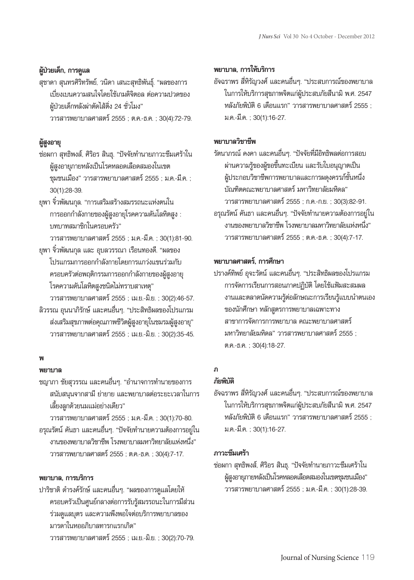# **ผู้ป่วยเด็ก, การดูแล**

สุชาดา สุนทรศิริทรัพย์, วนิดา เสนะสุทธิพันธุ์. "ผลของการ เบี่ยงเบนความสนใจโดยใช้เกมดิจิตอล ต่อความปวดของ ผู้ป่วยเด็กหลังผ่าตัดไส้ติ่ง 24 ชั่วโมง" วารสารพยาบาลศาสตร์2555 ; ต.ค.-ธ.ค. ; 30(4):72-79.

## **ผู้สูงอายุ**

- ช่อผกา สุทธิพงส์, ศิริอร สินธุ. "ปัจจัยทำนายภาวะซึมเศร้าใน ผู้สูงอายุภายหลังเป็นโรคหลอดเลือดสมองในเขต ชุมชนเมือง" วารสารพยาบาลศาสตร์2555 ; ม.ค.-มี.ค. ; 30(1):28-39.
- ยุพา จิ๋วพัฒนกุล. "การเสริมสร้างสมรรถนะแห่งตนใน การออกกำลังกายของผู้สูงอายุโรคความดันโลหิตสูง : บทบาทสมาชิกในครอบครัว"

วารสารพยาบาลศาสตร์2555 ; ม.ค.-มี.ค. ; 30(1):81-90. ยุพา จิ๋วพัฒนกุล และ อุบลวรรณา เรือนทองดี. "ผลของ

- โปรแกรมการออกกำลังกายโดยการแกว่งแขนร่วมกับ ครอบครัวต่อพฤติกรรมการออกกำลังกายของผู้สูงอายุ โรคความดันโลหิตสูงชนิดไม่ทราบสาเหตุ"
- วารสารพยาบาลศาสตร์2555 ; เม.ย.-มิ.ย. ; 30(2):46-57. ลิวรรณ อุนนาภิรักษ์และคนอื่นๆ. "ประสิทธิผลของโปรแกรม ส่งเสริมสุขภาพต่อคุณภาพชีวิตผู้สูงอายุในชมรมผู้สูงอายุ" วารสารพยาบาลศาสตร์2555 ; เม.ย.-มิ.ย. ; 30(2):35-45.

# **พ**

## **พยาบาล**

ชญาภา ชัยสุวรรณ และคนอื่นๆ. "อำนาจการทำนายของการ สนับสนุนจากสามีย่ายาย และพยาบาลต่อระยะเวลาในการ เลี้ยงลูกด้วยนมแม่อย่างเดียว"

วารสารพยาบาลศาสตร์2555 ; ม.ค.-มี.ค. ; 30(1):70-80. อรุณรัตน์คันธา และคนอื่นๆ. "ปัจจัยทำนายความต้องการอยู่ใน งานของพยาบาลวิชาชีพ โรงพยาบาลมหาวิทยาลัยแห่งหนึ่ง" วารสารพยาบาลศาสตร์2555 ; ต.ค.-ธ.ค. ; 30(4):7-17.

## **พยาบาล, การบริการ**

ปาริชาติดำรงค์รักษ์และคนอื่นๆ. "ผลของการดูแลโดยให้ ครอบครัวเป็นศูนย์กลางต่อการรับรู้สมรรถนะในการมีส่วน ร่วมดูแลบุตร และความพึงพอใจต่อบริการพยาบาลของ มารดาในหออภิบาลทารกแรกเกิด" วารสารพยาบาลศาสตร์2555 ; เม.ย.-มิ.ย. ; 30(2):70-79.

## **พยาบาล, การให้บริการ**

อัจฉราพร สี่หิรัญวงศ์และคนอื่นๆ. "ประสบการณ์ของพยาบาล ในการให้บริการสุขภาพจิตแก่ผู้ประสบภัยสึนามิ พ.ศ. 2547 หลังภัยพิบัติ 6 เดือนแรก" วารสารพยาบาลศาสตร์ 2555 ; ม.ค.-มี.ค. ; 30(1):16-27.

## **พยาบาลวิชาชีพ**

รัตนาภรณ์ คงคา และคนอื่นๆ. "ปัจจัยที่มีอิทธิพลต่อการสอบ ผ่านความรู้ของผู้ขอขึ้นทะเบียน และรับใบอนุญาตเป็น ผู้ประกอบวิชาชีพการพยาบาลและการผดุงครรภ์ชั้นหนึ่ง บัณฑิตคณะพยาบาลศาสตร์ มหาวิทยาลัยมหิดล" วารสารพยาบาลศาสตร์2555 ; ก.ค.-ก.ย. ; 30(3):82-91. อรุณรัตน์คันธา และคนอื่นๆ. "ปัจจัยทำนายความต้องการอยู่ใน งานของพยาบาลวิชาชีพ โรงพยาบาลมหาวิทยาลัยแห่งหนึ่ง" วารสารพยาบาลศาสตร์2555 ; ต.ค.-ธ.ค. ; 30(4):7-17.

## **พยาบาลศาสตร์, การศึกษา**

ปรางค์ทิพย์อุจะรัตน์และคนอื่นๆ. "ประสิทธิผลของโปรแกรม การจัดการเรียนการสอนภาคปฏิบัติโดยใช้แฟ้มสะสมผล งานและตลาดนัดความรู้ต่อลักษณะการเรียนรู้แบบนำตนเอง ของนักศึกษา หลักสูตรการพยาบาลเฉพาะทาง สาขาการจัดการการพยาบาล คณะพยาบาลศาสตร์ มหาวิทยาลัยมหิดล" วารสารพยาบาลศาสตร์ 2555 ; ต.ค.-ธ.ค. ; 30(4):18-27.

## **ภ**

# **ภัยพิบัติ**

อัจฉราพร สี่หิรัญวงศ์และคนอื่นๆ. "ประสบการณ์ของพยาบาล ในการให้บริการสุขภาพจิตแก่ผู้ประสบภัยสึนามิ พ.ศ. 2547 หลังภัยพิบัติ 6 เดือนแรก" วารสารพยาบาลศาสตร์ 2555 ; ม.ค.-มี.ค. ; 30(1):16-27.

## **ภาวะซึมเศร้า**

ช่อผกา สุทธิพงส์, ศิริอร สินธุ. "ปัจจัยทำนายภาวะซึมเศร้าใน ผู้สูงอายุภายหลังเป็นโรคหลอดเลือดสมองในเขตชุมชนเมือง" วารสารพยาบาลศาสตร์2555 ; ม.ค.-มี.ค. ; 30(1):28-39.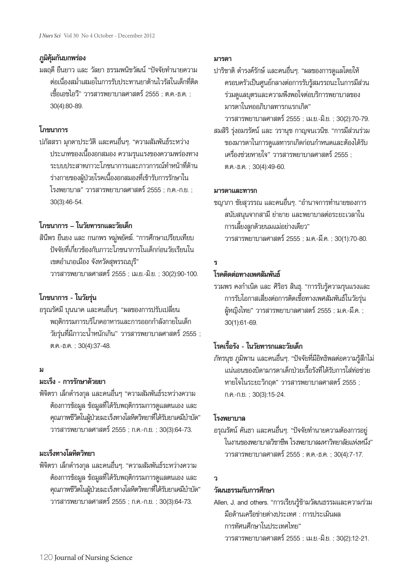## **ภูมิคุ้มกันบกพร่อง**

มลฤดียืนยาว และ วัลยา ธรรมพนิชวัฒน์"ปัจจัยทำนายความ ต่อเนื่องสม่ำเสมอในการรับประทานยาต้านไวรัสในเด็กที่ติด เชื้อเอชไอวี" วารสารพยาบาลศาสตร์2555 ; ต.ค.-ธ.ค. ; 30(4):80-89.

# **โภชนาการ**

ปภัสสรา มุกดาประวัติและคนอื่นๆ. "ความสัมพันธ์ระหว่าง ประเภทของเนื้องอกสมอง ความรุนแรงของความพร่องทาง ระบบประสาทภาวะโภชนาการและภาวการณ์ทำหน้าที่ด้าน ร่างกายของผู้ป่วยโรคเนื้องอกสมองที่เข้ารับการรักษาใน โรงพยาบาล" วารสารพยาบาลศาสตร์2555 ; ก.ค.-ก.ย. ; 30(3):46-54.

# **โภชนาการ – ในวัยทารกและวัยเด็ก**

สินีพร ยืนยง และ กนกพร หมู่พยัคฆ์. "การศึกษาเปรียบเทียบ ปัจจัยที่เกี่ยวข้องกับภาวะโภชนาการในเด็กก่อนวัยเรียนใน เขตอำเภอเมือง จังหวัดสุพรรณบุรี" วารสารพยาบาลศาสตร์2555 ; เม.ย.-มิ.ย. ; 30(2):90-100.

# **โภชนาการ - ในวัยรุ่น**

อรุณรัศมีบุนนาค และคนอื่นๆ. "ผลของการปรับเปลี่ยน พฤติกรรมการบริโภคอาหารและการออกกำลังกายในเด็ก วัยรุ่นที่มีภาวะน้ำหนักเกิน" วารสารพยาบาลศาสตร์ 2555 ; ต.ค.-ธ.ค. ; 30(4):37-48.

# **ม**

## **มะเร็ง - การรักษาด้วยยา**

พิจิตรา เล็กดำรงกุล และคนอื่นๆ "ความสัมพันธ์ระหว่างความ ต้องการข้อมูล ข้อมูลที่ได้รับพฤติกรรมการดูแลตนเอง และ คุณภาพชีวิตในผู้ป่วยมะเร็งทางโลหิตวิทยาที่ได้รับยาเคมีบำบัด" วารสารพยาบาลศาสตร์2555 ; ก.ค.-ก.ย. ; 30(3):64-73.

# **มะเร็งทางโลหิตวิทยา**

พิจิตรา เล็กดำรงกุล และคนอื่นๆ. "ความสัมพันธ์ระหว่างความ ต้องการข้อมูล ข้อมูลที่ได้รับพฤติกรรมการดูแลตนเอง และ คุณภาพชีวิตในผู้ป่วยมะเร็งทางโลหิตวิทยาที่ได้รับยาเคมีบำบัด" วารสารพยาบาลศาสตร์2555 ; ก.ค.-ก.ย. ; 30(3):64-73.

# **มารดา**

ปาริชาติ ดำรงค์รักษ์ และคนอื่นๆ. "ผลของการดูแลโดยให้ ครอบครัวเป็นศูนย์กลางต่อการรับรู้สมรรถนะในการมีส่วน ร่วมดูแลบุตรและความพึงพอใจต่อบริการพยาบาลของ มารดาในหออภิบาลทารกแรกเกิด"

วารสารพยาบาลศาสตร์2555 ; เม.ย.-มิ.ย. ; 30(2):70-79.

สมสิริรุ่งอมรรัตน์และ วรานุช กาญจนเวนิช. "การมีส่วนร่วม ของมารดาในการดูแลทารกเกิดก่อนกำหนดและต้องได้รับ เครื่องช่วยหายใจ" วารสารพยาบาลศาสตร์ 2555 : ต.ค.-ธ.ค. ; 30(4):49-60.

## **มารดาและทารก**

ชญาภา ชัยสุวรรณ และคนอื่นๆ. "อำนาจการทำนายของการ สนับสนุนจากสามี ย่ายาย และพยาบาลต่อระยะเวลาใน การเลี้ยงลูกด้วยนมแม่อย่างเดียว" วารสารพยาบาลศาสตร์2555 ; ม.ค.-มี.ค. ; 30(1):70-80.

# **ร**

## **โรคติดต่อทางเพศสัมพันธ์**

รวมพร คงกำเนิด และ ศิริอร สินธุ. "การรับรู้ความรุนแรงและ การรับโอกาสเสี่ยงต่อการติดเชื้อทางเพศสัมพันธ์ในวัยรุ่น ผู้หญิงไทย" วารสารพยาบาลศาสตร์ 2555 ; ม.ค.-มี.ค. ; 30(1):61-69.

# **โรคเรื้อรัง - ในวัยทารกและวัยเด็ก**

ภัทรนุช ภูมิพาน และคนอื่นๆ. "ปัจจัยที่มีอิทธิพลต่อความรู้สึกไม่ แน่นอนของบิดามารดาเด็กป่วยเรื้อรังที่ได้รับการใส่ท่อช่วย หายใจในระยะวิกฤต" วารสารพยาบาลศาสตร์ 2555 ; ก.ค.-ก.ย. ; 30(3):15-24.

## **โรงพยาบาล**

อรุณรัตน์คันธา และคนอื่นๆ. "ปัจจัยทำนายความต้องการอยู่ ในงานของพยาบาลวิชาชีพ โรงพยาบาลมหาวิทยาลัยแห่งหนึ่ง" วารสารพยาบาลศาสตร์2555 ; ต.ค.-ธ.ค. ; 30(4):7-17.

# **ว**

## **วัฒนธรรมกับการศึกษา**

Allen, J. and others. "การเรียนรู้ข้ามวัฒนธรรมและความร่วม มือด้านเครือข่ายต่างประเทศ : การประเมินผล การทัศนศึกษาในประเทศไทย" วารสารพยาบาลศาสตร์2555 ; เม.ย.-มิ.ย. ; 30(2):12-21.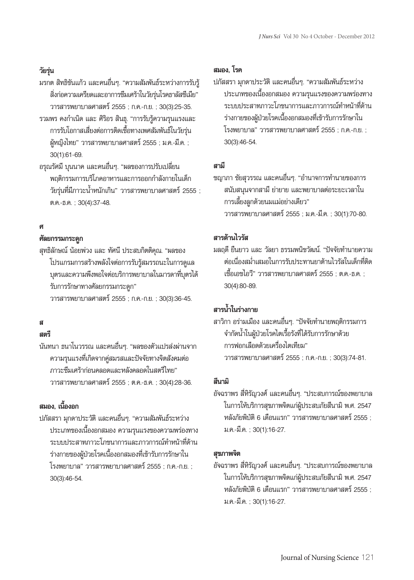# **วัยรุ่น**

มรกต สิทธิขันแก้ว และคนอื่นๆ. "ความสัมพันธ์ระหว่างการรับรู้ สิ่งก่อความเครียดและอาการซึมเศร้าในวัยรุ่นโรคธาลัสซีเมีย" วารสารพยาบาลศาสตร์2555 ; ก.ค.-ก.ย. ; 30(3):25-35. รวมพร คงกำเนิด และ ศิริอร สินธุ. "การรับรู้ความรุนแรงและ

- การรับโอกาสเสี่ยงต่อการติดเชื้อทางเพศสัมพันธ์ในวัยรุ่น ผู้หญิงไทย" วารสารพยาบาลศาสตร์ 2555 ; ม.ค.-มี.ค. ; 30(1):61-69.
- อรุณรัศมีบุนนาค และคนอื่นๆ. "ผลของการปรับเปลี่ยน พฤติกรรมการบริโภคอาหารและการออกกำลังกายในเด็ก ้วัยรุ่นที่มีภาวะน้ำหนักเกิน" วารสารพยาบาลศาสตร์ 2555 ; ต.ค.-ธ.ค. ; 30(4):37-48.

# **ศ**

## **ศัลยกรรมกระดูก**

สุทธิลักษณ์ น้อยพ่วง และ ทัศนี ประสบกิตติคุณ. "ผลของ โปรแกรมการสร้างพลังใจต่อการรับรู้สมรรถนะในการดูแล บุตรและความพึงพอใจต่อบริการพยาบาลในมารดาที่บุตรได้ รับการรักษาทางศัลยกรรมกระดูก" วารสารพยาบาลศาสตร์2555 ; ก.ค.-ก.ย. ; 30(3):36-45.

# **ส**

# **สตรี**

นันทนา ธนาโนวรรณ และคนอื่นๆ. "ผลของตัวแปรส่งผ่านจาก ความรุนแรงที่เกิดจากคู่สมรสและปัจจัยทางจิตสังคมต่อ ภาวะซึมเศร้าก่อนคลอดและหลังคลอดในสตรีไทย" วารสารพยาบาลศาสตร์2555 ; ต.ค.-ธ.ค. ; 30(4):28-36.

# **สมอง, เนื้องอก**

ปภัสสรา มุกดาประวัติและคนอื่นๆ. "ความสัมพันธ์ระหว่าง ประเภทของเนื้องอกสมอง ความรุนแรงของความพร่องทาง ระบบประสาทภาวะโภชนาการและภาวการณ์ทำหน้าที่ด้าน ร่างกายของผู้ป่วยโรคเนื้องอกสมองที่เข้ารับการรักษาใน โรงพยาบาล" วารสารพยาบาลศาสตร์2555 ; ก.ค.-ก.ย. ; 30(3):46-54.

# **สมอง, โรค**

ปภัสสรา มุกดาประวัติและคนอื่นๆ. "ความสัมพันธ์ระหว่าง ประเภทของเนื้องอกสมอง ความรุนแรงของความพร่องทาง ระบบประสาทภาวะโภชนาการและภาวการณ์ทำหน้าที่ด้าน ร่างกายของผู้ป่วยโรคเนื้องอกสมองที่เข้ารับการรักษาใน โรงพยาบาล" วารสารพยาบาลศาสตร์2555 ; ก.ค.-ก.ย. ; 30(3):46-54.

## **สามี**

ชญาภา ชัยสุวรรณ และคนอื่นๆ. "อำนาจการทำนายของการ สนับสนุนจากสามี ย่ายาย และพยาบาลต่อระยะเวลาใน การเลี้ยงลูกด้วยนมแม่อย่างเดียว" วารสารพยาบาลศาสตร์2555 ; ม.ค.-มี.ค. ; 30(1):70-80.

# **สารต้านไวรัส**

มลฤดียืนยาว และ วัลยา ธรรมพนิชวัฒน์. "ปัจจัยทำนายความ ต่อเนื่องสม่ำเสมอในการรับประทานยาต้านไวรัสในเด็กที่ติด เชื้อเอชไอวี" วารสารพยาบาลศาสตร์2555 ; ต.ค.-ธ.ค. ; 30(4):80-89.

# **สารน้ำในร่างกาย**

สาวิกา อร่ามเมือง และคนอื่นๆ. "ปัจจัยทำนายพฤติกรรมการ จำกัดน้ำในผู้ป่วยโรคไตเรื้อรังที่ได้รับการรักษาด้วย การฟอกเลือดด้วยเครื่องไตเทียม" วารสารพยาบาลศาสตร์2555 ; ก.ค.-ก.ย. ; 30(3):74-81.

## **สึนามิ**

อัจฉราพร สี่หิรัญวงศ์และคนอื่นๆ. "ประสบการณ์ของพยาบาล ในการให้บริการสุขภาพจิตแก่ผู้ประสบภัยสึนามิ พ.ศ. 2547 หลังภัยพิบัติ 6 เดือนแรก" วารสารพยาบาลศาสตร์ 2555 ; ม.ค.-มี.ค. ; 30(1):16-27.

## **สุขภาพจิต**

อัจฉราพร สี่หิรัญวงศ์และคนอื่นๆ. "ประสบการณ์ของพยาบาล ในการให้บริการสุขภาพจิตแก่ผู้ประสบภัยสึนามิ พ.ศ. 2547 หลังภัยพิบัติ6 เดือนแรก" วารสารพยาบาลศาสตร์2555 ; ม.ค.-มี.ค. ; 30(1):16-27.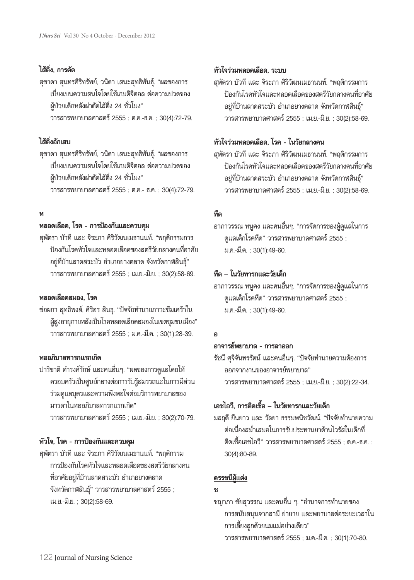# **ไส้ติ่ง, การตัด**

สุชาดา สุนทรศิริทรัพย์, วนิดา เสนะสุทธิพันธุ์. "ผลของการ เบี่ยงเบนความสนใจโดยใช้เกมดิจิตอล ต่อความปวดของ ผู้ป่วยเด็กหลังผ่าตัดไส้ติ่ง 24 ชั่วโมง" วารสารพยาบาลศาสตร์2555 ; ต.ค.-ธ.ค. ; 30(4):72-79.

# **ไส้ติ่งอักเสบ**

สุชาดา สุนทรศิริทรัพย์, วนิดา เสนะสุทธิพันธุ์. "ผลของการ เบี่ยงเบนความสนใจโดยใช้เกมดิจิตอล ต่อความปวดของ ผู้ป่วยเด็กหลังผ่าตัดไส้ติ่ง 24 ชั่วโมง" วารสารพยาบาลศาสตร์2555 ; ต.ค.- ธ.ค. ; 30(4):72-79.

# **ห**

## **หลอดเลือด, โรค - การป้องกันและควบคุม**

สุพัตรา บัวทีและ จิระภา ศิริวัฒนเมธานนท์. "พฤติกรรมการ ป้องกันโรคหัวใจและหลอดเลือดของสตรีวัยกลางคนที่อาศัย อยู่ที่บ้านลาดสระบัว อำเภอยางตลาด จังหวัดกาฬสินธุ์" วารสารพยาบาลศาสตร์2555 ; เม.ย.-มิ.ย. ; 30(2):58-69.

# **หลอดเลือดสมอง, โรค**

ช่อผกา สุทธิพงส์, ศิริอร สินธุ. "ปัจจัยทำนายภาวะซึมเศร้าใน ผู้สูงอายุภายหลังเป็นโรคหลอดเลือดสมองในเขตชุมชนเมือง" วารสารพยาบาลศาสตร์2555 ; ม.ค.-มี.ค. ; 30(1):28-39.

## **หออภิบาลทารกแรกเกิด**

ปาริชาติดำรงค์รักษ์และคนอื่นๆ. "ผลของการดูแลโดยให้ ครอบครัวเป็นศูนย์กลางต่อการรับรู้สมรรถนะในการมีส่วน ร่วมดูแลบุตรและความพึงพอใจต่อบริการพยาบาลของ มารดาในหออภิบาลทารกแรกเกิด" วารสารพยาบาลศาสตร์2555 ; เม.ย.-มิ.ย. ; 30(2):70-79.

# **หัวใจ, โรค - การป้องกันและควบคุม**

สุพัตรา บัวทีและ จิระภา ศิริวัฒนเมธานนท์. "พฤติกรรม การป้องกันโรคหัวใจและหลอดเลือดของสตรีวัยกลางคน ที่อาศัยอยู่ที่บ้านลาดสระบัว อำเภอยางตลาด จังหวัดกาฬสินธุ์" วารสารพยาบาลศาสตร์ 2555 ; เม.ย.-มิ.ย. ; 30(2):58-69.

# **หัวใจร่วมหลอดเลือด, ระบบ**

สุพัตรา บัวทีและ จิระภา ศิริวัฒนเมธานนท์. "พฤติกรรมการ ป้องกันโรคหัวใจและหลอดเลือดของสตรีวัยกลางคนที่อาศัย อยู่ที่บ้านลาดสระบัว อำเภอยางตลาด จังหวัดกาฬสินธุ์" วารสารพยาบาลศาสตร์2555 ; เม.ย.-มิ.ย. ; 30(2):58-69.

# **หัวใจร่วมหลอดเลือด, โรค - ในวัยกลางคน**

สุพัตรา บัวทีและ จิระภา ศิริวัฒนเมธานนท์. "พฤติกรรมการ ป้องกันโรคหัวใจและหลอดเลือดของสตรีวัยกลางคนที่อาศัย อยู่ที่บ้านลาดสระบัว อำเภอยางตลาด จังหวัดกาฬสินธุ์" วารสารพยาบาลศาสตร์2555 ; เม.ย.-มิ.ย. ; 30(2):58-69.

## **หืด**

อาภาวรรณ หนูคง และคนอื่นๆ. "การจัดการของผู้ดูแลในการ ดูแลเด็กโรคหืด" วารสารพยาบาลศาสตร์ 2555 ; ม.ค.-มี.ค. ; 30(1):49-60.

# **หืด – ในวัยทารกและวัยเด็ก**

อาภาวรรณ หนูคง และคนอื่นๆ. "การจัดการของผู้ดูแลในการ ดูแลเด็กโรคหืด" วารสารพยาบาลศาสตร์ 2555 ; ม.ค.-มี.ค. ; 30(1):49-60.

# **อ**

# **อาจารย์พยาบาล - การลาออก**

รัชนี ศุจิจันทรรัตน์ และคนอื่นๆ. "ปัจจัยทำนายความต้องการ ออกจากงานของอาจารย์พยาบาล" วารสารพยาบาลศาสตร์2555 ; เม.ย.-มิ.ย. ; 30(2):22-34.

# **เอชไอวี, การติดเชื้อ – ในวัยทารกและวัยเด็ก**

มลฤดียืนยาว และ วัลยา ธรรมพนิชวัฒน์. "ปัจจัยทำนายความ ต่อเนื่องสม่ำเสมอในการรับประทานยาต้านไวรัสในเด็กที่ ติดเชื้อเอชไอวี" วารสารพยาบาลศาสตร์ 2555 ; ต.ค.-ธ.ค. ; 30(4):80-89.

# **ดรรชนีผู้แต่ง**

# **ช**

ชญาภา ชัยสุวรรณ และคนอื่น ๆ. "อำนาจการทำนายของ การสนับสนุนจากสามีย่ายาย และพยาบาลต่อระยะเวลาใน การเลี้ยงลูกด้วยนมแม่อย่างเดียว" วารสารพยาบาลศาสตร์2555 ; ม.ค.-มี.ค. ; 30(1):70-80.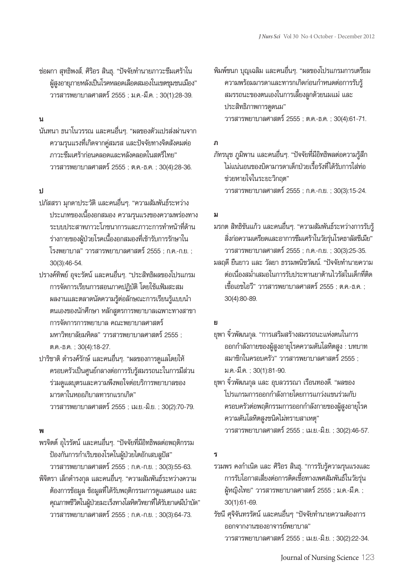ช่อผกา สุทธิพงส์, ศิริอร สินธุ. "ปัจจัยทำนายภาวะซึมเศร้าใน ผู้สูงอายุภายหลังเป็นโรคหลอดเลือดสมองในเขตชุมชนเมือง" วารสารพยาบาลศาสตร์2555 ; ม.ค.-มี.ค. ; 30(1):28-39.

## **น**

นันทนา ธนาโนวรรณ และคนอื่นๆ. "ผลของตัวแปรส่งผ่านจาก ความรุนแรงที่เกิดจากคู่สมรส และปัจจัยทางจิตสังคมต่อ ภาวะซึมเศร้าก่อนคลอดและหลังคลอดในสตรีไทย" วารสารพยาบาลศาสตร์2555 ; ต.ค.-ธ.ค. ; 30(4):28-36.

## **ป**

- ปภัสสรา มุกดาประวัติและคนอื่นๆ. "ความสัมพันธ์ระหว่าง ประเภทของเนื้องอกสมอง ความรุนแรงของความพร่องทาง ระบบประสาทภาวะโภชนาการและภาวะการทำหน้าที่ด้าน ร่างกายของผู้ป่วยโรคเนื้องอกสมองที่เข้ารับการรักษาใน โรงพยาบาล" วารสารพยาบาลศาสตร์2555 ; ก.ค.-ก.ย. ; 30(3):46-54.
- ปรางค์ทิพย์อุจะรัตน์และคนอื่นๆ. "ประสิทธิผลของโปรแกรม การจัดการเรียนการสอนภาคปฏิบัติโดยใช้แฟ้มสะสม ผลงานและตลาดนัดความรู้ต่อลักษณะการเรียนรู้แบบนำ ตนเองของนักศึกษา หลักสูตรการพยาบาลเฉพาะทางสาขา การจัดการการพยาบาล คณะพยาบาลศาสตร์ มหาวิทยาลัยมหิดล" วารสารพยาบาลศาสตร์ 2555 ; ต.ค.-ธ.ค. ; 30(4):18-27.
- ปาริชาติดำรงค์รักษ์และคนอื่นๆ. "ผลของการดูแลโดยให้ ครอบครัวเป็นศูนย์กลางต่อการรับรู้สมรรถนะในการมีส่วน ร่วมดูแลบุตรและความพึงพอใจต่อบริการพยาบาลของ มารดาในหออภิบาลทารกแรกเกิด" วารสารพยาบาลศาสตร์2555 ; เม.ย.-มิ.ย. ; 30(2):70-79.

# **พ**

พรจิตต์อุไรรัตน์และคนอื่นๆ. "ปัจจัยที่มีอิทธิพลต่อพฤติกรรม ป้องกันการกำเริบของโรคในผู้ป่วยไตอักเสบลูปัส" วารสารพยาบาลศาสตร์2555 ; ก.ค.-ก.ย. ; 30(3):55-63. พิจิตรา เล็กดำรงกุล และคนอื่นๆ. "ความสัมพันธ์ระหว่างความ ต้องการข้อมูล ข้อมูลที่ได้รับพฤติกรรมการดูแลตนเอง และ คุณภาพชีวิตในผู้ป่วยมะเร็งทางโลหิตวิทยาที่ได้รับยาเคมีบำบัด" วารสารพยาบาลศาสตร์2555 ; ก.ค.-ก.ย. ; 30(3):64-73.

พิมพ์ชนก บุญเฉลิม และคนอื่นๆ. "ผลของโปรแกรมการเตรียม ความพร้อมมารดาและทารกเกิดก่อนกำหนดต่อการรับรู้ สมรรถนะของตนเองในการเลี้ยงลูกด้วยนมแม่ และ ประสิทธิภาพการดูดนม" วารสารพยาบาลศาสตร์2555 ; ต.ค.-ธ.ค. ; 30(4):61-71.

## **ภ**

ภัทรนุช ภูมิพาน และคนอื่นๆ. "ปัจจัยที่มีอิทธิพลต่อความรู้สึก ไม่แน่นอนของบิดามารดาเด็กป่วยเรื้อรังที่ได้รับการใส่ท่อ ช่วยหายใจในระยะวิกฤต" วารสารพยาบาลศาสตร์2555 ; ก.ค.-ก.ย. ; 30(3):15-24.

## **ม**

มรกต สิทธิขันแก้ว และคนอื่นๆ. "ความสัมพันธ์ระหว่างการรับรู้ สิ่งก่อความเครียดและอาการซึมเศร้าในวัยรุ่นโรคธาลัสซีเมีย" วารสารพยาบาลศาสตร์2555 ; ก.ค.-ก.ย. ; 30(3):25-35. มลฤดียืนยาว และ วัลยา ธรรมพนิชวัฒน์. "ปัจจัยทำนายความ ต่อเนื่องสม่ำเสมอในการรับประทานยาต้านไวรัสในเด็กที่ติด เชื้อเอชไอวี" วารสารพยาบาลศาสตร์2555 ; ต.ค.-ธ.ค. ; 30(4):80-89.

# **ย**

ยุพา จิ๋วพัฒนกุล. "การเสริมสร้างสมรรถนะแห่งตนในการ ออกกำลังกายของผู้สูงอายุโรคความดันโลหิตสูง : บทบาท สมาชิกในครอบครัว" วารสารพยาบาลศาสตร์ 2555 : ม.ค.-มี.ค. ; 30(1):81-90.

ยุพา จิ๋วพัฒนกุล และ อุบลวรรณา เรือนทองดี. "ผลของ โปรแกรมการออกกำลังกายโดยการแกว่งแขนร่วมกับ ครอบครัวต่อพฤติกรรมการออกกำลังกายของผู้สูงอายุโรค ความดันโลหิตสูงชนิดไม่ทราบสาเหตุ" วารสารพยาบาลศาสตร์2555 ; เม.ย.-มิ.ย. ; 30(2):46-57.

## **ร**

- รวมพร คงกำเนิด และ ศิริอร สินธุ. "การรับรู้ความรุนแรงและ การรับโอกาสเสี่ยงต่อการติดเชื้อทางเพศสัมพันธ์ในวัยรุ่น ผู้หญิงไทย" วารสารพยาบาลศาสตร์ 2555 ; ม.ค.-มี.ค. ; 30(1):61-69.
- รัชนี ศุจิจันทรรัตน์ และคนอื่นๆ "ปัจจัยทำนายความต้องการ ออกจากงานของอาจารย์พยาบาล" วารสารพยาบาลศาสตร์2555 ; เม.ย.-มิ.ย. ; 30(2):22-34.